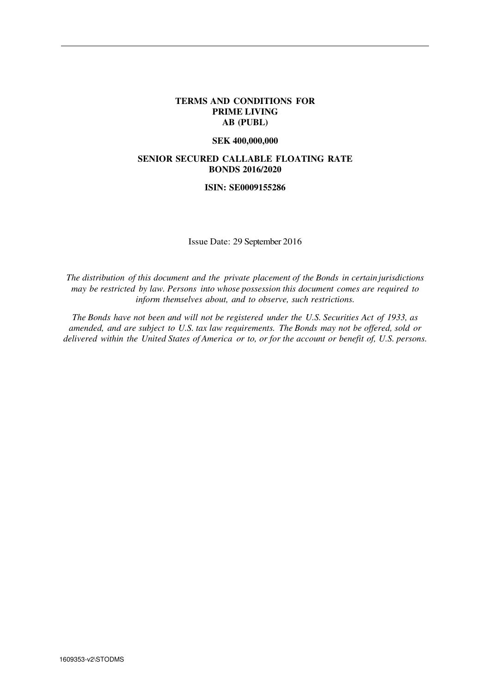#### **TERMS AND CONDITIONS FOR PRIME LIVING AB (PUBL)**

#### **SEK 400,000,000**

### **SENIOR SECURED CALLABLE FLOATING RATE BONDS 2016/2020**

#### **ISIN: SE0009155286**

Issue Date: 29 September 2016

*The distribution of this document and the private placement of the Bonds in certain jurisdictions may be restricted by law. Persons into whose possession this document comes are required to inform themselves about, and to observe, such restrictions.*

*The Bonds have not been and will not be registered under the U.S. Securities Act of 1933, as amended, and are subject to U.S. tax law requirements. The Bonds may not be offered, sold or delivered within the United States of America or to, or for the account or benefit of, U.S. persons.*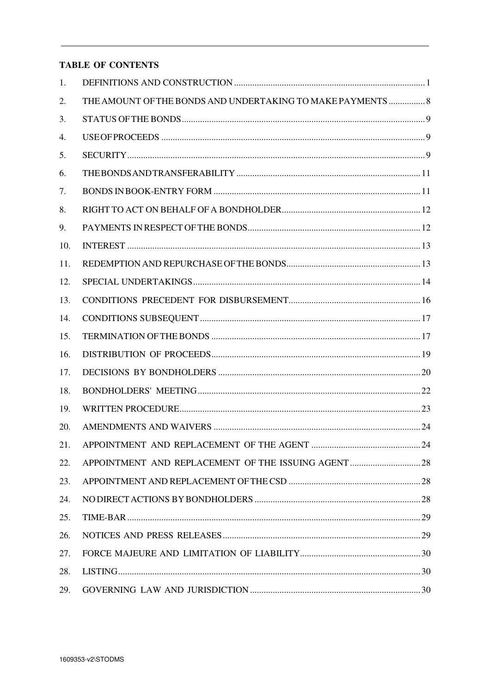# **TABLE OF CONTENTS**

| 1.  |                                                             |  |
|-----|-------------------------------------------------------------|--|
| 2.  | THE AMOUNT OF THE BONDS AND UNDERTAKING TO MAKE PAYMENTS  8 |  |
| 3.  |                                                             |  |
| 4.  |                                                             |  |
| 5.  |                                                             |  |
| 6.  |                                                             |  |
| 7.  |                                                             |  |
| 8.  |                                                             |  |
| 9.  |                                                             |  |
| 10. |                                                             |  |
| 11. |                                                             |  |
| 12. |                                                             |  |
| 13. |                                                             |  |
| 14. |                                                             |  |
| 15. |                                                             |  |
| 16. |                                                             |  |
| 17. |                                                             |  |
| 18. |                                                             |  |
| 19. |                                                             |  |
| 20. |                                                             |  |
| 21. |                                                             |  |
| 22. | APPOINTMENT AND REPLACEMENT OF THE ISSUING AGENT  28        |  |
| 23. |                                                             |  |
| 24. |                                                             |  |
| 25. |                                                             |  |
| 26. |                                                             |  |
| 27. |                                                             |  |
| 28. |                                                             |  |
| 29. |                                                             |  |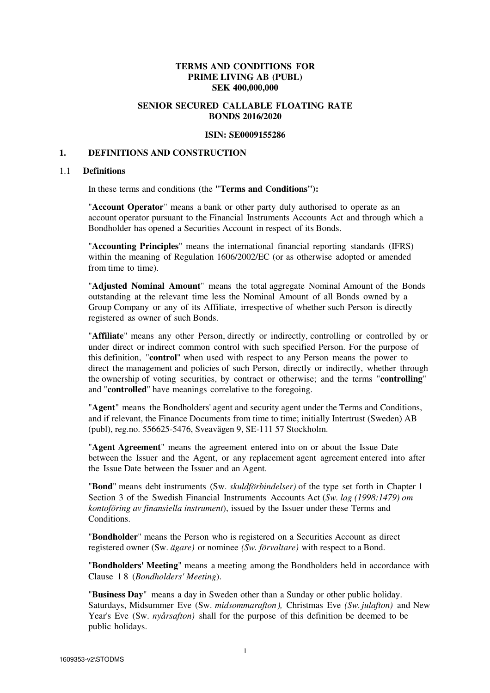## **TERMS AND CONDITIONS FOR PRIME LIVING AB (PUBL) SEK 400,000,000**

# **SENIOR SECURED CALLABLE FLOATING RATE BONDS 2016/2020**

#### **ISIN: SE0009155286**

#### **1. DEFINITIONS AND CONSTRUCTION**

#### 1.1 **Definitions**

In these terms and conditions (the **"Terms and Conditions"):** 

"**Account Operator**" means a bank or other party duly authorised to operate as an account operator pursuant to the Financial Instruments Accounts Act and through which a Bondholder has opened a Securities Account in respect of its Bonds.

"**Accounting Principles**" means the international financial reporting standards (IFRS) within the meaning of Regulation 1606/2002/EC (or as otherwise adopted or amended from time to time).

"**Adjusted Nominal Amount**" means the total aggregate Nominal Amount of the Bonds outstanding at the relevant time less the Nominal Amount of all Bonds owned by a Group Company or any of its Affiliate, irrespective of whether such Person is directly registered as owner of such Bonds.

"**Affiliate**" means any other Person, directly or indirectly, controlling or controlled by or under direct or indirect common control with such specified Person. For the purpose of this definition, "**control**" when used with respect to any Person means the power to direct the management and policies of such Person, directly or indirectly, whether through the ownership of voting securities, by contract or otherwise; and the terms "**controlling**" and "**controlled**" have meanings correlative to the foregoing.

"**Agent**" means the Bondholders' agent and security agent under the Terms and Conditions, and if relevant, the Finance Documents from time to time; initially Intertrust (Sweden) AB (publ), reg.no. 556625-5476, Sveavägen 9, SE-111 57 Stockholm.

"**Agent Agreement**" means the agreement entered into on or about the Issue Date between the Issuer and the Agent, or any replacement agent agreement entered into after the Issue Date between the Issuer and an Agent.

"**Bond**" means debt instruments (Sw. *skuldförbindelser)* of the type set forth in Chapter 1 Section 3 of the Swedish Financial Instruments Accounts Act (*Sw. lag (1998:1479) om kontoföring av finansiella instrument*), issued by the Issuer under these Terms and **Conditions** 

"**Bondholder**" means the Person who is registered on a Securities Account as direct registered owner (Sw. *ägare)* or nominee *(Sw. förvaltare)* with respect to a Bond.

"**Bondholders' Meeting**" means a meeting among the Bondholders held in accordance with Clause 1 8 (*Bondholders' Meeting*).

"**Business Day**" means a day in Sweden other than a Sunday or other public holiday. Saturdays, Midsummer Eve (Sw. *midsommarafton),* Christmas Eve *(Sw. julafton)* and New Year's Eve (Sw. *nyårsafton)* shall for the purpose of this definition be deemed to be public holidays.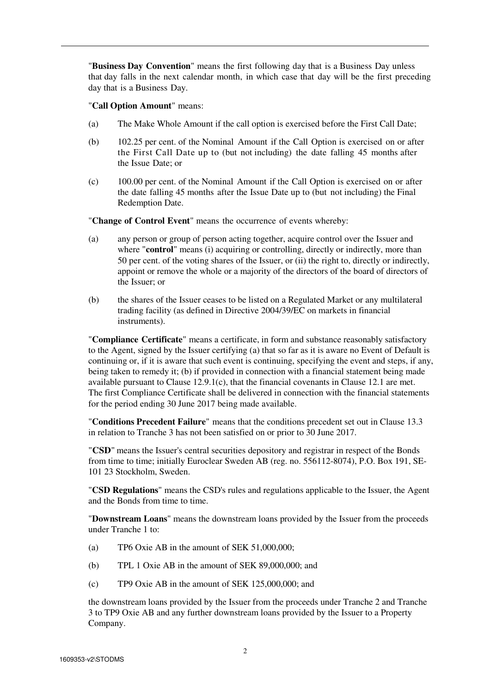"**Business Day Convention**" means the first following day that is a Business Day unless that day falls in the next calendar month, in which case that day will be the first preceding day that is a Business Day.

"**Call Option Amount**" means:

- (a) The Make Whole Amount if the call option is exercised before the First Call Date;
- (b) 102.25 per cent. of the Nominal Amount if the Call Option is exercised on or after the First Call Date up to (but not including) the date falling 45 months after the Issue Date; or
- (c) 100.00 per cent. of the Nominal Amount if the Call Option is exercised on or after the date falling 45 months after the Issue Date up to (but not including) the Final Redemption Date.

"**Change of Control Event**" means the occurrence of events whereby:

- (a) any person or group of person acting together, acquire control over the Issuer and where "**control**" means (i) acquiring or controlling, directly or indirectly, more than 50 per cent. of the voting shares of the Issuer, or (ii) the right to, directly or indirectly, appoint or remove the whole or a majority of the directors of the board of directors of the Issuer; or
- (b) the shares of the Issuer ceases to be listed on a Regulated Market or any multilateral trading facility (as defined in Directive 2004/39/EC on markets in financial instruments).

"**Compliance Certificate**" means a certificate, in form and substance reasonably satisfactory to the Agent, signed by the Issuer certifying (a) that so far as it is aware no Event of Default is continuing or, if it is aware that such event is continuing, specifying the event and steps, if any, being taken to remedy it; (b) if provided in connection with a financial statement being made available pursuant to Clause 12.9.1(c), that the financial covenants in Clause 12.1 are met. The first Compliance Certificate shall be delivered in connection with the financial statements for the period ending 30 June 2017 being made available.

"**Conditions Precedent Failure**" means that the conditions precedent set out in Clause 13.3 in relation to Tranche 3 has not been satisfied on or prior to 30 June 2017.

"**CSD**" means the Issuer's central securities depository and registrar in respect of the Bonds from time to time; initially Euroclear Sweden AB (reg. no. 556112-8074), P.O. Box 191, SE-101 23 Stockholm, Sweden.

"**CSD Regulations**" means the CSD's rules and regulations applicable to the Issuer, the Agent and the Bonds from time to time.

"**Downstream Loans**" means the downstream loans provided by the Issuer from the proceeds under Tranche 1 to:

- (a) TP6 Oxie AB in the amount of SEK 51,000,000;
- (b) TPL 1 Oxie AB in the amount of SEK 89,000,000; and
- (c) TP9 Oxie AB in the amount of SEK 125,000,000; and

the downstream loans provided by the Issuer from the proceeds under Tranche 2 and Tranche 3 to TP9 Oxie AB and any further downstream loans provided by the Issuer to a Property Company.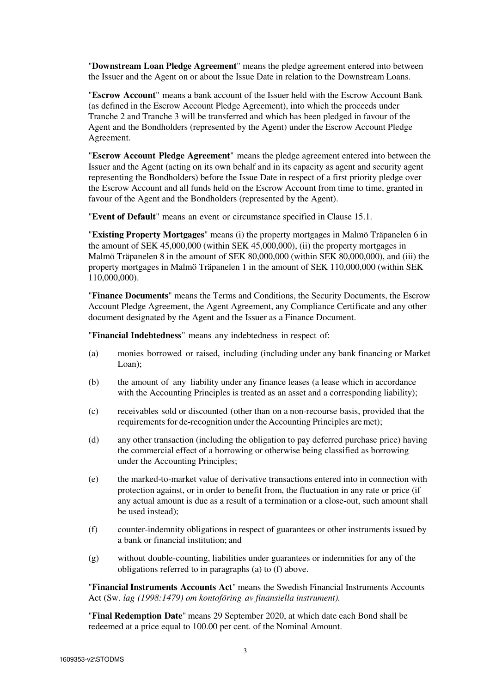"**Downstream Loan Pledge Agreement**" means the pledge agreement entered into between the Issuer and the Agent on or about the Issue Date in relation to the Downstream Loans.

"**Escrow Account**" means a bank account of the Issuer held with the Escrow Account Bank (as defined in the Escrow Account Pledge Agreement), into which the proceeds under Tranche 2 and Tranche 3 will be transferred and which has been pledged in favour of the Agent and the Bondholders (represented by the Agent) under the Escrow Account Pledge Agreement.

"**Escrow Account Pledge Agreement**" means the pledge agreement entered into between the Issuer and the Agent (acting on its own behalf and in its capacity as agent and security agent representing the Bondholders) before the Issue Date in respect of a first priority pledge over the Escrow Account and all funds held on the Escrow Account from time to time, granted in favour of the Agent and the Bondholders (represented by the Agent).

"**Event of Default**" means an event or circumstance specified in Clause 15.1.

"**Existing Property Mortgages**" means (i) the property mortgages in Malmö Träpanelen 6 in the amount of SEK 45,000,000 (within SEK 45,000,000), (ii) the property mortgages in Malmö Träpanelen 8 in the amount of SEK 80,000,000 (within SEK 80,000,000), and (iii) the property mortgages in Malmö Träpanelen 1 in the amount of SEK 110,000,000 (within SEK 110,000,000).

"**Finance Documents**" means the Terms and Conditions, the Security Documents, the Escrow Account Pledge Agreement, the Agent Agreement, any Compliance Certificate and any other document designated by the Agent and the Issuer as a Finance Document.

"**Financial Indebtedness**" means any indebtedness in respect of:

- (a) monies borrowed or raised, including (including under any bank financing or Market Loan);
- (b) the amount of any liability under any finance leases (a lease which in accordance with the Accounting Principles is treated as an asset and a corresponding liability);
- (c) receivables sold or discounted (other than on a non-recourse basis, provided that the requirements for de-recognition under the Accounting Principles are met);
- (d) any other transaction (including the obligation to pay deferred purchase price) having the commercial effect of a borrowing or otherwise being classified as borrowing under the Accounting Principles;
- (e) the marked-to-market value of derivative transactions entered into in connection with protection against, or in order to benefit from, the fluctuation in any rate or price (if any actual amount is due as a result of a termination or a close-out, such amount shall be used instead);
- (f) counter-indemnity obligations in respect of guarantees or other instruments issued by a bank or financial institution; and
- (g) without double-counting, liabilities under guarantees or indemnities for any of the obligations referred to in paragraphs (a) to (f) above.

"**Financial Instruments Accounts Act**" means the Swedish Financial Instruments Accounts Act (Sw. *lag (1998:1479) om kontoföring av finansiella instrument).*

"**Final Redemption Date**" means 29 September 2020, at which date each Bond shall be redeemed at a price equal to 100.00 per cent. of the Nominal Amount.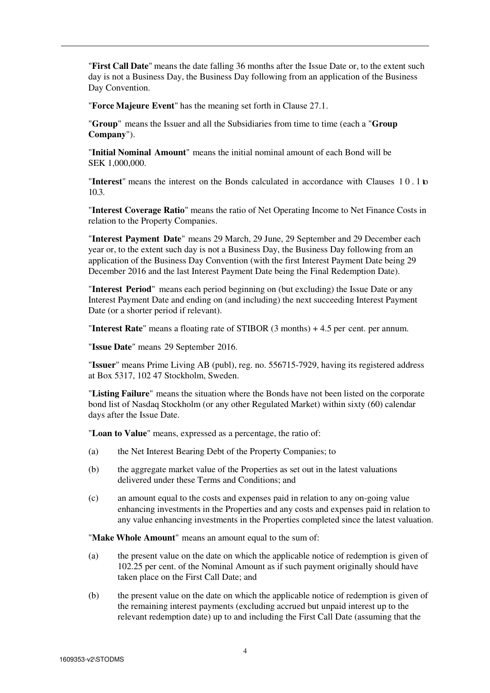"**First Call Date**" means the date falling 36 months after the Issue Date or, to the extent such day is not a Business Day, the Business Day following from an application of the Business Day Convention.

"**Force Majeure Event**" has the meaning set forth in Clause 27.1.

"**Group**" means the Issuer and all the Subsidiaries from time to time (each a "**Group Company**").

"**Initial Nominal Amount**" means the initial nominal amount of each Bond will be SEK 1,000,000.

"**Interest**" means the interest on the Bonds calculated in accordance with Clauses 1 0 . 1 to 10.3.

"**Interest Coverage Ratio**" means the ratio of Net Operating Income to Net Finance Costs in relation to the Property Companies.

"**Interest Payment Date**" means 29 March, 29 June, 29 September and 29 December each year or, to the extent such day is not a Business Day, the Business Day following from an application of the Business Day Convention (with the first Interest Payment Date being 29 December 2016 and the last Interest Payment Date being the Final Redemption Date).

"**Interest Period**" means each period beginning on (but excluding) the Issue Date or any Interest Payment Date and ending on (and including) the next succeeding Interest Payment Date (or a shorter period if relevant).

"**Interest Rate**" means a floating rate of STIBOR (3 months) + 4.5 per cent. per annum.

"**Issue Date**" means 29 September 2016.

"**Issuer**" means Prime Living AB (publ), reg. no. 556715-7929, having its registered address at Box 5317, 102 47 Stockholm, Sweden.

"**Listing Failure**" means the situation where the Bonds have not been listed on the corporate bond list of Nasdaq Stockholm (or any other Regulated Market) within sixty (60) calendar days after the Issue Date.

"**Loan to Value**" means, expressed as a percentage, the ratio of:

- (a) the Net Interest Bearing Debt of the Property Companies; to
- (b) the aggregate market value of the Properties as set out in the latest valuations delivered under these Terms and Conditions; and
- (c) an amount equal to the costs and expenses paid in relation to any on-going value enhancing investments in the Properties and any costs and expenses paid in relation to any value enhancing investments in the Properties completed since the latest valuation.

"**Make Whole Amount**" means an amount equal to the sum of:

- (a) the present value on the date on which the applicable notice of redemption is given of 102.25 per cent. of the Nominal Amount as if such payment originally should have taken place on the First Call Date; and
- (b) the present value on the date on which the applicable notice of redemption is given of the remaining interest payments (excluding accrued but unpaid interest up to the relevant redemption date) up to and including the First Call Date (assuming that the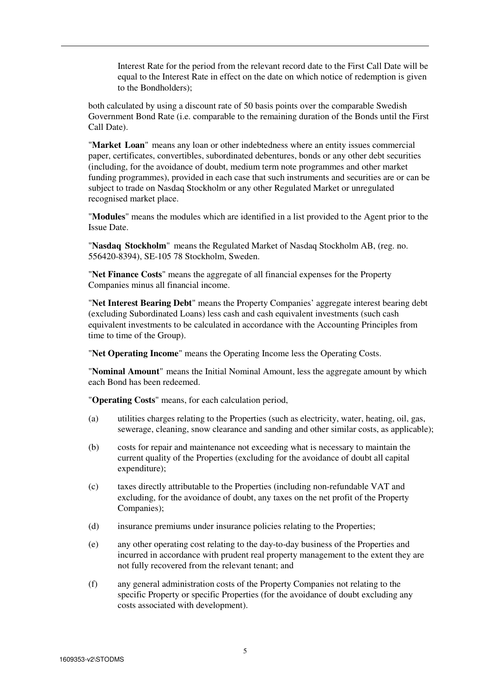Interest Rate for the period from the relevant record date to the First Call Date will be equal to the Interest Rate in effect on the date on which notice of redemption is given to the Bondholders);

both calculated by using a discount rate of 50 basis points over the comparable Swedish Government Bond Rate (i.e. comparable to the remaining duration of the Bonds until the First Call Date).

"**Market Loan**" means any loan or other indebtedness where an entity issues commercial paper, certificates, convertibles, subordinated debentures, bonds or any other debt securities (including, for the avoidance of doubt, medium term note programmes and other market funding programmes), provided in each case that such instruments and securities are or can be subject to trade on Nasdaq Stockholm or any other Regulated Market or unregulated recognised market place.

"**Modules**" means the modules which are identified in a list provided to the Agent prior to the Issue Date.

"**Nasdaq Stockholm**" means the Regulated Market of Nasdaq Stockholm AB, (reg. no. 556420-8394), SE-105 78 Stockholm, Sweden.

"**Net Finance Costs**" means the aggregate of all financial expenses for the Property Companies minus all financial income.

"**Net Interest Bearing Debt**" means the Property Companies' aggregate interest bearing debt (excluding Subordinated Loans) less cash and cash equivalent investments (such cash equivalent investments to be calculated in accordance with the Accounting Principles from time to time of the Group).

"**Net Operating Income**" means the Operating Income less the Operating Costs.

"**Nominal Amount**" means the Initial Nominal Amount, less the aggregate amount by which each Bond has been redeemed.

"**Operating Costs**" means, for each calculation period,

- (a) utilities charges relating to the Properties (such as electricity, water, heating, oil, gas, sewerage, cleaning, snow clearance and sanding and other similar costs, as applicable);
- (b) costs for repair and maintenance not exceeding what is necessary to maintain the current quality of the Properties (excluding for the avoidance of doubt all capital expenditure);
- (c) taxes directly attributable to the Properties (including non-refundable VAT and excluding, for the avoidance of doubt, any taxes on the net profit of the Property Companies);
- (d) insurance premiums under insurance policies relating to the Properties;
- (e) any other operating cost relating to the day-to-day business of the Properties and incurred in accordance with prudent real property management to the extent they are not fully recovered from the relevant tenant; and
- (f) any general administration costs of the Property Companies not relating to the specific Property or specific Properties (for the avoidance of doubt excluding any costs associated with development).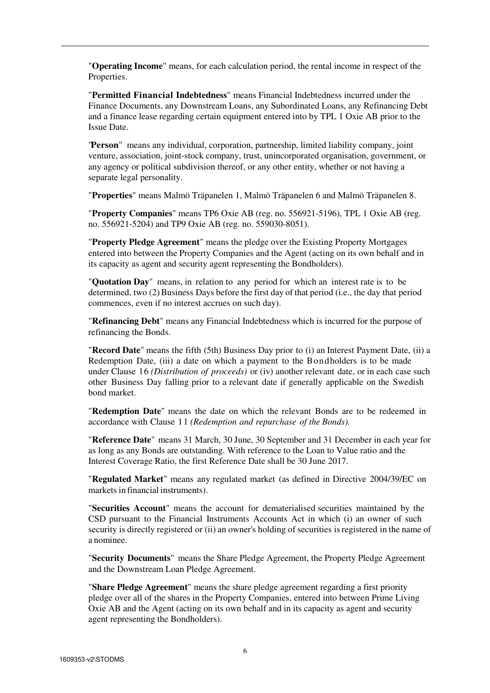"**Operating Income**" means, for each calculation period, the rental income in respect of the Properties.

"**Permitted Financial Indebtedness**" means Financial Indebtedness incurred under the Finance Documents, any Downstream Loans, any Subordinated Loans, any Refinancing Debt and a finance lease regarding certain equipment entered into by TPL 1 Oxie AB prior to the Issue Date.

"**Person**" means any individual, corporation, partnership, limited liability company, joint venture, association, joint-stock company, trust, unincorporated organisation, government, or any agency or political subdivision thereof, or any other entity, whether or not having a separate legal personality.

"**Properties**" means Malmö Träpanelen 1, Malmö Träpanelen 6 and Malmö Träpanelen 8.

"**Property Companies**" means TP6 Oxie AB (reg. no. 556921-5196), TPL 1 Oxie AB (reg. no. 556921-5204) and TP9 Oxie AB (reg. no. 559030-8051).

"**Property Pledge Agreement**" means the pledge over the Existing Property Mortgages entered into between the Property Companies and the Agent (acting on its own behalf and in its capacity as agent and security agent representing the Bondholders).

"**Quotation Day**" means, in relation to any period for which an interest rate is to be determined, two (2) Business Days before the first day of that period (i.e., the day that period commences, even if no interest accrues on such day).

"**Refinancing Debt**" means any Financial Indebtedness which is incurred for the purpose of refinancing the Bonds.

"**Record Date**" means the fifth (5th) Business Day prior to (i) an Interest Payment Date, (ii) a Redemption Date, (iii) a date on which a payment to the Bondholders is to be made under Clause 16 *(Distribution of proceeds)* or (iv) another relevant date, or in each case such other Business Day falling prior to a relevant date if generally applicable on the Swedish bond market.

"**Redemption Date**" means the date on which the relevant Bonds are to be redeemed in accordance with Clause 11 *(Redemption and repurchase of the Bonds).*

"**Reference Date**" means 31 March, 30 June, 30 September and 31 December in each year for as long as any Bonds are outstanding. With reference to the Loan to Value ratio and the Interest Coverage Ratio, the first Reference Date shall be 30 June 2017.

"**Regulated Market**" means any regulated market (as defined in Directive 2004/39/EC on markets in financial instruments).

"**Securities Account**" means the account for dematerialised securities maintained by the CSD pursuant to the Financial Instruments Accounts Act in which (i) an owner of such security is directly registered or (ii) an owner's holding of securities is registered in the name of a nominee.

"**Security Documents**" means the Share Pledge Agreement, the Property Pledge Agreement and the Downstream Loan Pledge Agreement.

"**Share Pledge Agreement**" means the share pledge agreement regarding a first priority pledge over all of the shares in the Property Companies, entered into between Prime Living Oxie AB and the Agent (acting on its own behalf and in its capacity as agent and security agent representing the Bondholders).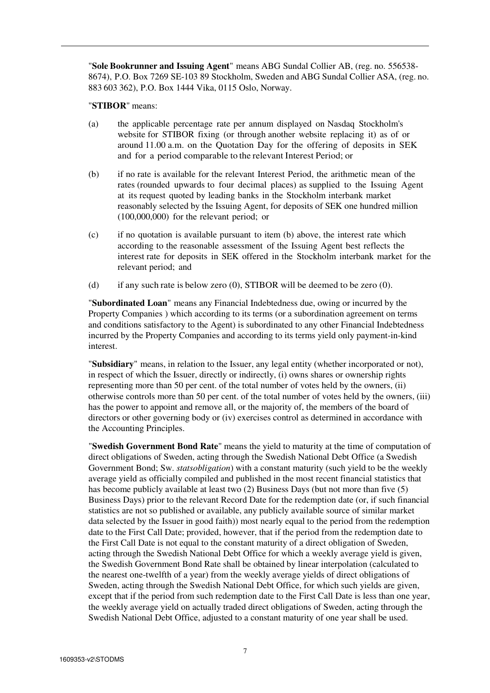"**Sole Bookrunner and Issuing Agent**" means ABG Sundal Collier AB, (reg. no. 556538- 8674), P.O. Box 7269 SE-103 89 Stockholm, Sweden and ABG Sundal Collier ASA, (reg. no. 883 603 362), P.O. Box 1444 Vika, 0115 Oslo, Norway.

"**STIBOR**" means:

- (a) the applicable percentage rate per annum displayed on Nasdaq Stockholm's website for STIBOR fixing (or through another website replacing it) as of or around 11.00 a.m. on the Quotation Day for the offering of deposits in SEK and for a period comparable to the relevant Interest Period; or
- (b) if no rate is available for the relevant Interest Period, the arithmetic mean of the rates (rounded upwards to four decimal places) as supplied to the Issuing Agent at its request quoted by leading banks in the Stockholm interbank market reasonably selected by the Issuing Agent, for deposits of SEK one hundred million (100,000,000) for the relevant period; or
- (c) if no quotation is available pursuant to item (b) above, the interest rate which according to the reasonable assessment of the Issuing Agent best reflects the interest rate for deposits in SEK offered in the Stockholm interbank market for the relevant period; and
- (d) if any such rate is below zero (0), STIBOR will be deemed to be zero (0).

"**Subordinated Loan**" means any Financial Indebtedness due, owing or incurred by the Property Companies ) which according to its terms (or a subordination agreement on terms and conditions satisfactory to the Agent) is subordinated to any other Financial Indebtedness incurred by the Property Companies and according to its terms yield only payment-in-kind interest.

"**Subsidiary**" means, in relation to the Issuer, any legal entity (whether incorporated or not), in respect of which the Issuer, directly or indirectly, (i) owns shares or ownership rights representing more than 50 per cent. of the total number of votes held by the owners, (ii) otherwise controls more than 50 per cent. of the total number of votes held by the owners, (iii) has the power to appoint and remove all, or the majority of, the members of the board of directors or other governing body or (iv) exercises control as determined in accordance with the Accounting Principles.

"**Swedish Government Bond Rate**" means the yield to maturity at the time of computation of direct obligations of Sweden, acting through the Swedish National Debt Office (a Swedish Government Bond; Sw. *statsobligation*) with a constant maturity (such yield to be the weekly average yield as officially compiled and published in the most recent financial statistics that has become publicly available at least two (2) Business Days (but not more than five (5) Business Days) prior to the relevant Record Date for the redemption date (or, if such financial statistics are not so published or available, any publicly available source of similar market data selected by the Issuer in good faith)) most nearly equal to the period from the redemption date to the First Call Date; provided, however, that if the period from the redemption date to the First Call Date is not equal to the constant maturity of a direct obligation of Sweden, acting through the Swedish National Debt Office for which a weekly average yield is given, the Swedish Government Bond Rate shall be obtained by linear interpolation (calculated to the nearest one-twelfth of a year) from the weekly average yields of direct obligations of Sweden, acting through the Swedish National Debt Office, for which such yields are given, except that if the period from such redemption date to the First Call Date is less than one year, the weekly average yield on actually traded direct obligations of Sweden, acting through the Swedish National Debt Office, adjusted to a constant maturity of one year shall be used.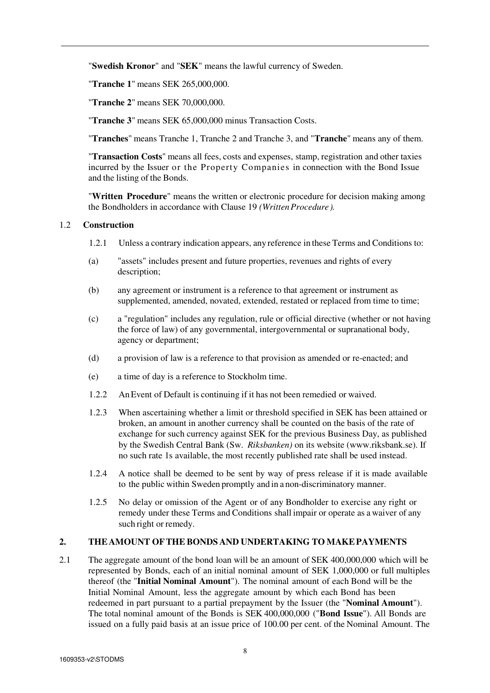"**Swedish Kronor**" and "**SEK**" means the lawful currency of Sweden.

"**Tranche 1**" means SEK 265,000,000.

"**Tranche 2**" means SEK 70,000,000.

"**Tranche 3**" means SEK 65,000,000 minus Transaction Costs.

"**Tranches**" means Tranche 1, Tranche 2 and Tranche 3, and "**Tranche**" means any of them.

"**Transaction Costs**" means all fees, costs and expenses, stamp, registration and other taxies incurred by the Issuer or the Property Companies in connection with the Bond Issue and the listing of the Bonds.

"**Written Procedure**" means the written or electronic procedure for decision making among the Bondholders in accordance with Clause 19 *(Written Procedure).*

#### 1.2 **Construction**

- 1.2.1 Unless a contrary indication appears, any reference in these Terms and Conditions to:
- (a) "assets" includes present and future properties, revenues and rights of every description;
- (b) any agreement or instrument is a reference to that agreement or instrument as supplemented, amended, novated, extended, restated or replaced from time to time;
- (c) a "regulation" includes any regulation, rule or official directive (whether or not having the force of law) of any governmental, intergovernmental or supranational body, agency or department;
- (d) a provision of law is a reference to that provision as amended or re-enacted; and
- (e) a time of day is a reference to Stockholm time.
- 1.2.2 An Event of Default is continuing if it has not been remedied or waived.
- 1.2.3 When ascertaining whether a limit or threshold specified in SEK has been attained or broken, an amount in another currency shall be counted on the basis of the rate of exchange for such currency against SEK for the previous Business Day, as published by the Swedish Central Bank (Sw. *Riksbanken)* on its website (www.riksbank.se). If no such rate 1s available, the most recently published rate shall be used instead.
- 1.2.4 A notice shall be deemed to be sent by way of press release if it is made available to the public within Sweden promptly and in a non-discriminatory manner.
- 1.2.5 No delay or omission of the Agent or of any Bondholder to exercise any right or remedy under these Terms and Conditions shall impair or operate as a waiver of any such right or remedy.

## **2. THE AMOUNT OF THE BONDS AND UNDERTAKING TO MAKE PAYMENTS**

2.1 The aggregate amount of the bond loan will be an amount of SEK 400,000,000 which will be represented by Bonds, each of an initial nominal amount of SEK 1,000,000 or full multiples thereof (the "**Initial Nominal Amount**"). The nominal amount of each Bond will be the Initial Nominal Amount, less the aggregate amount by which each Bond has been redeemed in part pursuant to a partial prepayment by the Issuer (the "**Nominal Amount**"). The total nominal amount of the Bonds is SEK 400,000,000 ("**Bond Issue**"). All Bonds are issued on a fully paid basis at an issue price of 100.00 per cent. of the Nominal Amount. The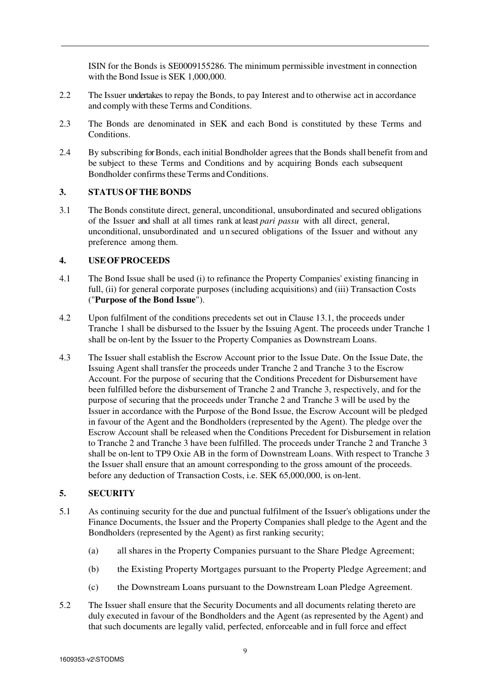ISIN for the Bonds is SE0009155286. The minimum permissible investment in connection with the Bond Issue is SEK 1,000,000.

- 2.2 The Issuer undertakes to repay the Bonds, to pay Interest and to otherwise act in accordance and comply with these Terms and Conditions.
- 2.3 The Bonds are denominated in SEK and each Bond is constituted by these Terms and **Conditions**
- 2.4 By subscribing for Bonds, each initial Bondholder agrees that the Bonds shall benefit from and be subject to these Terms and Conditions and by acquiring Bonds each subsequent Bondholder confirms these Terms and Conditions.

#### **3. STATUS OF THE BONDS**

3.1 The Bonds constitute direct, general, unconditional, unsubordinated and secured obligations of the Issuer and shall at all times rank at least *pari passu* with all direct, general, unconditional, unsubordinated and u n secured obligations of the Issuer and without any preference among them.

#### **4. USE OF PROCEEDS**

- 4.1 The Bond Issue shall be used (i) to refinance the Property Companies' existing financing in full, (ii) for general corporate purposes (including acquisitions) and (iii) Transaction Costs ("**Purpose of the Bond Issue**").
- 4.2 Upon fulfilment of the conditions precedents set out in Clause 13.1, the proceeds under Tranche 1 shall be disbursed to the Issuer by the Issuing Agent. The proceeds under Tranche 1 shall be on-lent by the Issuer to the Property Companies as Downstream Loans.
- 4.3 The Issuer shall establish the Escrow Account prior to the Issue Date. On the Issue Date, the Issuing Agent shall transfer the proceeds under Tranche 2 and Tranche 3 to the Escrow Account. For the purpose of securing that the Conditions Precedent for Disbursement have been fulfilled before the disbursement of Tranche 2 and Tranche 3, respectively, and for the purpose of securing that the proceeds under Tranche 2 and Tranche 3 will be used by the Issuer in accordance with the Purpose of the Bond Issue, the Escrow Account will be pledged in favour of the Agent and the Bondholders (represented by the Agent). The pledge over the Escrow Account shall be released when the Conditions Precedent for Disbursement in relation to Tranche 2 and Tranche 3 have been fulfilled. The proceeds under Tranche 2 and Tranche 3 shall be on-lent to TP9 Oxie AB in the form of Downstream Loans. With respect to Tranche 3 the Issuer shall ensure that an amount corresponding to the gross amount of the proceeds. before any deduction of Transaction Costs, i.e. SEK 65,000,000, is on-lent.

# **5. SECURITY**

- 5.1 As continuing security for the due and punctual fulfilment of the Issuer's obligations under the Finance Documents, the Issuer and the Property Companies shall pledge to the Agent and the Bondholders (represented by the Agent) as first ranking security;
	- (a) all shares in the Property Companies pursuant to the Share Pledge Agreement;
	- (b) the Existing Property Mortgages pursuant to the Property Pledge Agreement; and
	- (c) the Downstream Loans pursuant to the Downstream Loan Pledge Agreement.
- 5.2 The Issuer shall ensure that the Security Documents and all documents relating thereto are duly executed in favour of the Bondholders and the Agent (as represented by the Agent) and that such documents are legally valid, perfected, enforceable and in full force and effect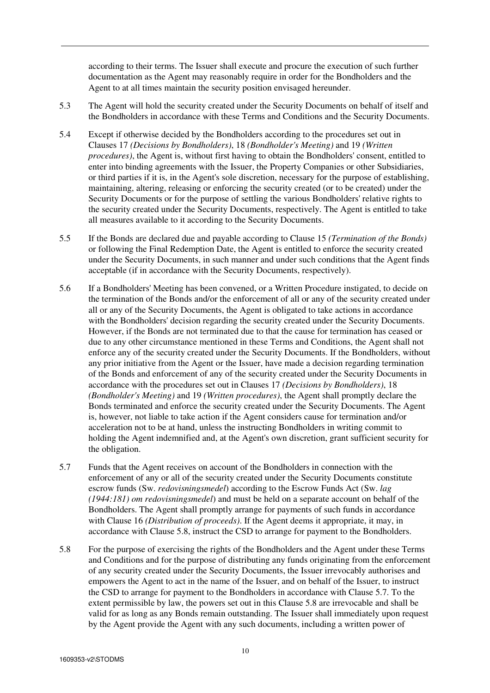according to their terms. The Issuer shall execute and procure the execution of such further documentation as the Agent may reasonably require in order for the Bondholders and the Agent to at all times maintain the security position envisaged hereunder.

- 5.3 The Agent will hold the security created under the Security Documents on behalf of itself and the Bondholders in accordance with these Terms and Conditions and the Security Documents.
- 5.4 Except if otherwise decided by the Bondholders according to the procedures set out in Clauses 17 *(Decisions by Bondholders)*, 18 *(Bondholder's Meeting)* and 19 *(Written procedures)*, the Agent is, without first having to obtain the Bondholders' consent, entitled to enter into binding agreements with the Issuer, the Property Companies or other Subsidiaries, or third parties if it is, in the Agent's sole discretion, necessary for the purpose of establishing, maintaining, altering, releasing or enforcing the security created (or to be created) under the Security Documents or for the purpose of settling the various Bondholders' relative rights to the security created under the Security Documents, respectively. The Agent is entitled to take all measures available to it according to the Security Documents.
- 5.5 If the Bonds are declared due and payable according to Clause 15 *(Termination of the Bonds)* or following the Final Redemption Date, the Agent is entitled to enforce the security created under the Security Documents, in such manner and under such conditions that the Agent finds acceptable (if in accordance with the Security Documents, respectively).
- 5.6 If a Bondholders' Meeting has been convened, or a Written Procedure instigated, to decide on the termination of the Bonds and/or the enforcement of all or any of the security created under all or any of the Security Documents, the Agent is obligated to take actions in accordance with the Bondholders' decision regarding the security created under the Security Documents. However, if the Bonds are not terminated due to that the cause for termination has ceased or due to any other circumstance mentioned in these Terms and Conditions, the Agent shall not enforce any of the security created under the Security Documents. If the Bondholders, without any prior initiative from the Agent or the Issuer, have made a decision regarding termination of the Bonds and enforcement of any of the security created under the Security Documents in accordance with the procedures set out in Clauses 17 *(Decisions by Bondholders)*, 18 *(Bondholder's Meeting)* and 19 *(Written procedures)*, the Agent shall promptly declare the Bonds terminated and enforce the security created under the Security Documents. The Agent is, however, not liable to take action if the Agent considers cause for termination and/or acceleration not to be at hand, unless the instructing Bondholders in writing commit to holding the Agent indemnified and, at the Agent's own discretion, grant sufficient security for the obligation.
- 5.7 Funds that the Agent receives on account of the Bondholders in connection with the enforcement of any or all of the security created under the Security Documents constitute escrow funds (Sw. *redovisningsmedel*) according to the Escrow Funds Act (Sw. *lag (1944:181) om redovisningsmedel*) and must be held on a separate account on behalf of the Bondholders. The Agent shall promptly arrange for payments of such funds in accordance with Clause 16 *(Distribution of proceeds)*. If the Agent deems it appropriate, it may, in accordance with Clause 5.8, instruct the CSD to arrange for payment to the Bondholders.
- 5.8 For the purpose of exercising the rights of the Bondholders and the Agent under these Terms and Conditions and for the purpose of distributing any funds originating from the enforcement of any security created under the Security Documents, the Issuer irrevocably authorises and empowers the Agent to act in the name of the Issuer, and on behalf of the Issuer, to instruct the CSD to arrange for payment to the Bondholders in accordance with Clause 5.7. To the extent permissible by law, the powers set out in this Clause 5.8 are irrevocable and shall be valid for as long as any Bonds remain outstanding. The Issuer shall immediately upon request by the Agent provide the Agent with any such documents, including a written power of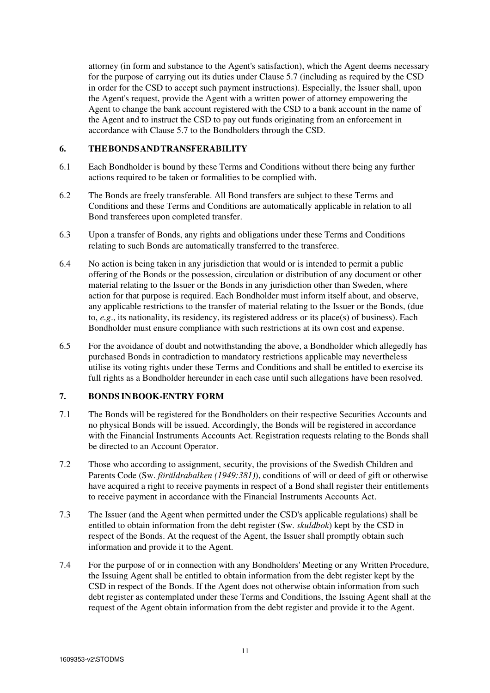attorney (in form and substance to the Agent's satisfaction), which the Agent deems necessary for the purpose of carrying out its duties under Clause 5.7 (including as required by the CSD in order for the CSD to accept such payment instructions). Especially, the Issuer shall, upon the Agent's request, provide the Agent with a written power of attorney empowering the Agent to change the bank account registered with the CSD to a bank account in the name of the Agent and to instruct the CSD to pay out funds originating from an enforcement in accordance with Clause 5.7 to the Bondholders through the CSD.

# **6. THE BONDS AND TRANSFERABILITY**

- 6.1 Each Bondholder is bound by these Terms and Conditions without there being any further actions required to be taken or formalities to be complied with.
- 6.2 The Bonds are freely transferable. All Bond transfers are subject to these Terms and Conditions and these Terms and Conditions are automatically applicable in relation to all Bond transferees upon completed transfer.
- 6.3 Upon a transfer of Bonds, any rights and obligations under these Terms and Conditions relating to such Bonds are automatically transferred to the transferee.
- 6.4 No action is being taken in any jurisdiction that would or is intended to permit a public offering of the Bonds or the possession, circulation or distribution of any document or other material relating to the Issuer or the Bonds in any jurisdiction other than Sweden, where action for that purpose is required. Each Bondholder must inform itself about, and observe, any applicable restrictions to the transfer of material relating to the Issuer or the Bonds, (due to, *e.g*., its nationality, its residency, its registered address or its place(s) of business). Each Bondholder must ensure compliance with such restrictions at its own cost and expense.
- 6.5 For the avoidance of doubt and notwithstanding the above, a Bondholder which allegedly has purchased Bonds in contradiction to mandatory restrictions applicable may nevertheless utilise its voting rights under these Terms and Conditions and shall be entitled to exercise its full rights as a Bondholder hereunder in each case until such allegations have been resolved.

# **7. BONDS IN BOOK-ENTRY FORM**

- 7.1 The Bonds will be registered for the Bondholders on their respective Securities Accounts and no physical Bonds will be issued. Accordingly, the Bonds will be registered in accordance with the Financial Instruments Accounts Act. Registration requests relating to the Bonds shall be directed to an Account Operator.
- 7.2 Those who according to assignment, security, the provisions of the Swedish Children and Parents Code (Sw. *föräldrabalken (1949:381)*), conditions of will or deed of gift or otherwise have acquired a right to receive payments in respect of a Bond shall register their entitlements to receive payment in accordance with the Financial Instruments Accounts Act.
- 7.3 The Issuer (and the Agent when permitted under the CSD's applicable regulations) shall be entitled to obtain information from the debt register (Sw. *skuldbok*) kept by the CSD in respect of the Bonds. At the request of the Agent, the Issuer shall promptly obtain such information and provide it to the Agent.
- 7.4 For the purpose of or in connection with any Bondholders' Meeting or any Written Procedure, the Issuing Agent shall be entitled to obtain information from the debt register kept by the CSD in respect of the Bonds. If the Agent does not otherwise obtain information from such debt register as contemplated under these Terms and Conditions, the Issuing Agent shall at the request of the Agent obtain information from the debt register and provide it to the Agent.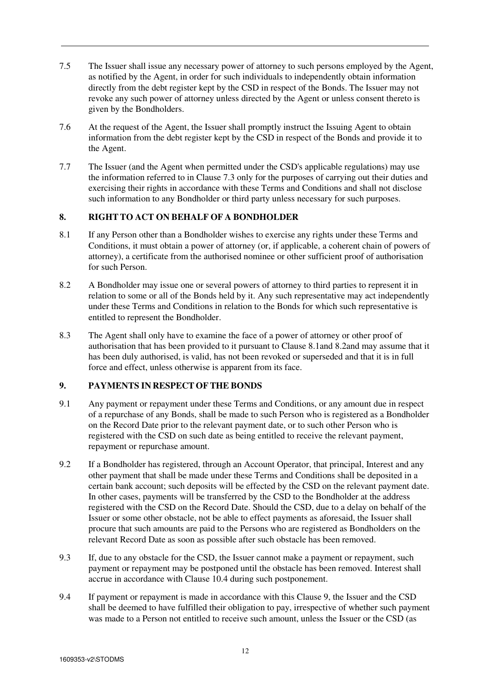- 7.5 The Issuer shall issue any necessary power of attorney to such persons employed by the Agent, as notified by the Agent, in order for such individuals to independently obtain information directly from the debt register kept by the CSD in respect of the Bonds. The Issuer may not revoke any such power of attorney unless directed by the Agent or unless consent thereto is given by the Bondholders.
- 7.6 At the request of the Agent, the Issuer shall promptly instruct the Issuing Agent to obtain information from the debt register kept by the CSD in respect of the Bonds and provide it to the Agent.
- 7.7 The Issuer (and the Agent when permitted under the CSD's applicable regulations) may use the information referred to in Clause 7.3 only for the purposes of carrying out their duties and exercising their rights in accordance with these Terms and Conditions and shall not disclose such information to any Bondholder or third party unless necessary for such purposes.

# **8. RIGHT TO ACT ON BEHALF OF A BONDHOLDER**

- 8.1 If any Person other than a Bondholder wishes to exercise any rights under these Terms and Conditions, it must obtain a power of attorney (or, if applicable, a coherent chain of powers of attorney), a certificate from the authorised nominee or other sufficient proof of authorisation for such Person.
- 8.2 A Bondholder may issue one or several powers of attorney to third parties to represent it in relation to some or all of the Bonds held by it. Any such representative may act independently under these Terms and Conditions in relation to the Bonds for which such representative is entitled to represent the Bondholder.
- 8.3 The Agent shall only have to examine the face of a power of attorney or other proof of authorisation that has been provided to it pursuant to Clause 8.1and 8.2and may assume that it has been duly authorised, is valid, has not been revoked or superseded and that it is in full force and effect, unless otherwise is apparent from its face.

# **9. PAYMENTS IN RESPECT OF THE BONDS**

- 9.1 Any payment or repayment under these Terms and Conditions, or any amount due in respect of a repurchase of any Bonds, shall be made to such Person who is registered as a Bondholder on the Record Date prior to the relevant payment date, or to such other Person who is registered with the CSD on such date as being entitled to receive the relevant payment, repayment or repurchase amount.
- 9.2 If a Bondholder has registered, through an Account Operator, that principal, Interest and any other payment that shall be made under these Terms and Conditions shall be deposited in a certain bank account; such deposits will be effected by the CSD on the relevant payment date. In other cases, payments will be transferred by the CSD to the Bondholder at the address registered with the CSD on the Record Date. Should the CSD, due to a delay on behalf of the Issuer or some other obstacle, not be able to effect payments as aforesaid, the Issuer shall procure that such amounts are paid to the Persons who are registered as Bondholders on the relevant Record Date as soon as possible after such obstacle has been removed.
- 9.3 If, due to any obstacle for the CSD, the Issuer cannot make a payment or repayment, such payment or repayment may be postponed until the obstacle has been removed. Interest shall accrue in accordance with Clause 10.4 during such postponement.
- 9.4 If payment or repayment is made in accordance with this Clause 9, the Issuer and the CSD shall be deemed to have fulfilled their obligation to pay, irrespective of whether such payment was made to a Person not entitled to receive such amount, unless the Issuer or the CSD (as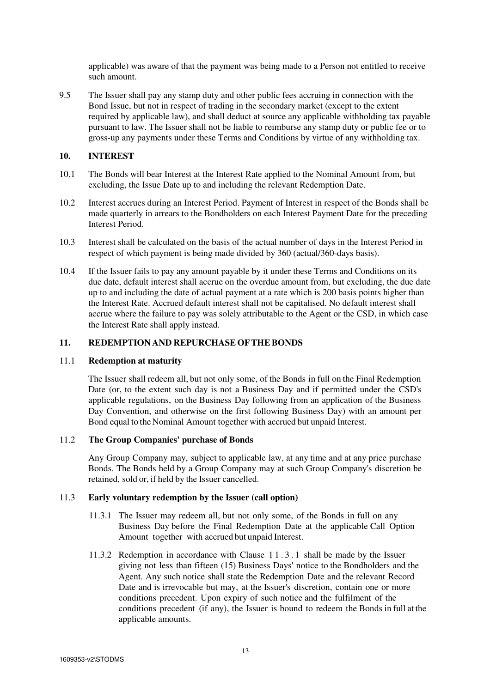applicable) was aware of that the payment was being made to a Person not entitled to receive such amount.

9.5 The Issuer shall pay any stamp duty and other public fees accruing in connection with the Bond Issue, but not in respect of trading in the secondary market (except to the extent required by applicable law), and shall deduct at source any applicable withholding tax payable pursuant to law. The Issuer shall not be liable to reimburse any stamp duty or public fee or to gross-up any payments under these Terms and Conditions by virtue of any withholding tax.

## **10. INTEREST**

- 10.1 The Bonds will bear Interest at the Interest Rate applied to the Nominal Amount from, but excluding, the Issue Date up to and including the relevant Redemption Date.
- 10.2 Interest accrues during an Interest Period. Payment of Interest in respect of the Bonds shall be made quarterly in arrears to the Bondholders on each Interest Payment Date for the preceding Interest Period.
- 10.3 Interest shall be calculated on the basis of the actual number of days in the Interest Period in respect of which payment is being made divided by 360 (actual/360-days basis).
- 10.4 If the Issuer fails to pay any amount payable by it under these Terms and Conditions on its due date, default interest shall accrue on the overdue amount from, but excluding, the due date up to and including the date of actual payment at a rate which is 200 basis points higher than the Interest Rate. Accrued default interest shall not be capitalised. No default interest shall accrue where the failure to pay was solely attributable to the Agent or the CSD, in which case the Interest Rate shall apply instead.

## **11. REDEMPTION AND REPURCHASE OF THE BONDS**

## 11.1 **Redemption at maturity**

The Issuer shall redeem all, but not only some, of the Bonds in full on the Final Redemption Date (or, to the extent such day is not a Business Day and if permitted under the CSD's applicable regulations, on the Business Day following from an application of the Business Day Convention, and otherwise on the first following Business Day) with an amount per Bond equal to the Nominal Amount together with accrued but unpaid Interest.

## 11.2 **The Group Companies' purchase of Bonds**

Any Group Company may, subject to applicable law, at any time and at any price purchase Bonds. The Bonds held by a Group Company may at such Group Company's discretion be retained, sold or, if held by the Issuer cancelled.

## 11.3 **Early voluntary redemption by the Issuer (call option)**

- 11.3.1 The Issuer may redeem all, but not only some, of the Bonds in full on any Business Day before the Final Redemption Date at the applicable Call Option Amount together with accrued but unpaid Interest.
- 11.3.2 Redemption in accordance with Clause 1 1 . 3 . 1 shall be made by the Issuer giving not less than fifteen (15) Business Days' notice to the Bondholders and the Agent. Any such notice shall state the Redemption Date and the relevant Record Date and is irrevocable but may, at the Issuer's discretion, contain one or more conditions precedent. Upon expiry of such notice and the fulfilment of the conditions precedent (if any), the Issuer is bound to redeem the Bonds in full at the applicable amounts.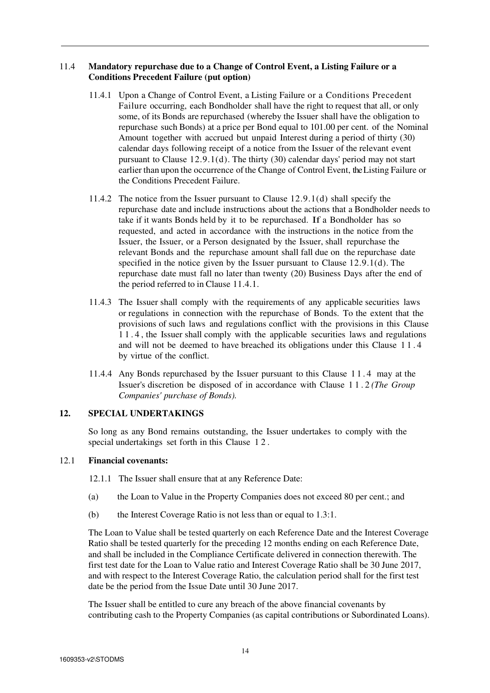# 11.4 **Mandatory repurchase due to a Change of Control Event, a Listing Failure or a Conditions Precedent Failure (put option)**

- 11.4.1 Upon a Change of Control Event, a Listing Failure or a Conditions Precedent Failure occurring, each Bondholder shall have the right to request that all, or only some, of its Bonds are repurchased (whereby the Issuer shall have the obligation to repurchase such Bonds) at a price per Bond equal to 101.00 per cent. of the Nominal Amount together with accrued but unpaid Interest during a period of thirty (30) calendar days following receipt of a notice from the Issuer of the relevant event pursuant to Clause 12.9.1(d). The thirty (30) calendar days' period may not start earlier than upon the occurrence of the Change of Control Event, the Listing Failure or the Conditions Precedent Failure.
- 11.4.2 The notice from the Issuer pursuant to Clause 12.9.1(d) shall specify the repurchase date and include instructions about the actions that a Bondholder needs to take if it wants Bonds held by it to be repurchased. If a Bondholder has so requested, and acted in accordance with the instructions in the notice from the Issuer, the Issuer, or a Person designated by the Issuer, shall repurchase the relevant Bonds and the repurchase amount shall fall due on the repurchase date specified in the notice given by the Issuer pursuant to Clause 12.9.1(d). The repurchase date must fall no later than twenty (20) Business Days after the end of the period referred to in Clause 11.4.1.
- 11.4.3 The Issuer shall comply with the requirements of any applicable securities laws or regulations in connection with the repurchase of Bonds. To the extent that the provisions of such laws and regulations conflict with the provisions in this Clause 1 1 . 4 , the Issuer shall comply with the applicable securities laws and regulations and will not be deemed to have breached its obligations under this Clause 1 1 . 4 by virtue of the conflict.
- 11.4.4 Any Bonds repurchased by the Issuer pursuant to this Clause 1 1 . 4 may at the Issuer's discretion be disposed of in accordance with Clause 1 1 . 2 *(The Group Companies' purchase of Bonds).*

## **12. SPECIAL UNDERTAKINGS**

So long as any Bond remains outstanding, the Issuer undertakes to comply with the special undertakings set forth in this Clause 1 2 .

## 12.1 **Financial covenants:**

- 12.1.1 The Issuer shall ensure that at any Reference Date:
- (a) the Loan to Value in the Property Companies does not exceed 80 per cent.; and
- (b) the Interest Coverage Ratio is not less than or equal to 1.3:1.

The Loan to Value shall be tested quarterly on each Reference Date and the Interest Coverage Ratio shall be tested quarterly for the preceding 12 months ending on each Reference Date, and shall be included in the Compliance Certificate delivered in connection therewith. The first test date for the Loan to Value ratio and Interest Coverage Ratio shall be 30 June 2017, and with respect to the Interest Coverage Ratio, the calculation period shall for the first test date be the period from the Issue Date until 30 June 2017.

The Issuer shall be entitled to cure any breach of the above financial covenants by contributing cash to the Property Companies (as capital contributions or Subordinated Loans).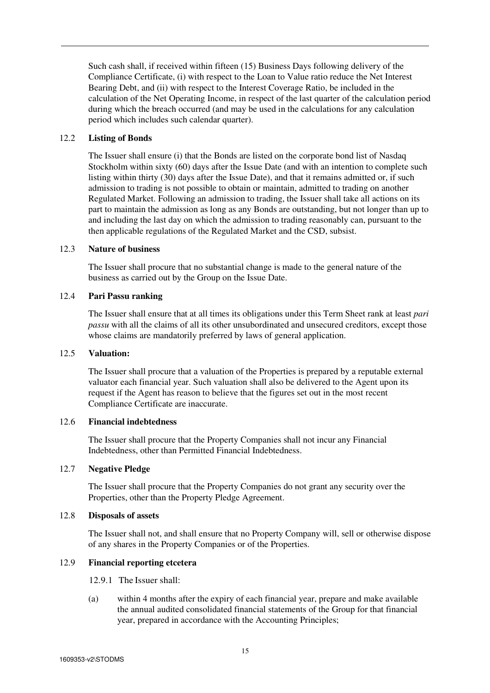Such cash shall, if received within fifteen (15) Business Days following delivery of the Compliance Certificate, (i) with respect to the Loan to Value ratio reduce the Net Interest Bearing Debt, and (ii) with respect to the Interest Coverage Ratio, be included in the calculation of the Net Operating Income, in respect of the last quarter of the calculation period during which the breach occurred (and may be used in the calculations for any calculation period which includes such calendar quarter).

## 12.2 **Listing of Bonds**

The Issuer shall ensure (i) that the Bonds are listed on the corporate bond list of Nasdaq Stockholm within sixty (60) days after the Issue Date (and with an intention to complete such listing within thirty (30) days after the Issue Date), and that it remains admitted or, if such admission to trading is not possible to obtain or maintain, admitted to trading on another Regulated Market. Following an admission to trading, the Issuer shall take all actions on its part to maintain the admission as long as any Bonds are outstanding, but not longer than up to and including the last day on which the admission to trading reasonably can, pursuant to the then applicable regulations of the Regulated Market and the CSD, subsist.

#### 12.3 **Nature of business**

The Issuer shall procure that no substantial change is made to the general nature of the business as carried out by the Group on the Issue Date.

## 12.4 **Pari Passu ranking**

The Issuer shall ensure that at all times its obligations under this Term Sheet rank at least *pari passu* with all the claims of all its other unsubordinated and unsecured creditors, except those whose claims are mandatorily preferred by laws of general application.

#### 12.5 **Valuation:**

The Issuer shall procure that a valuation of the Properties is prepared by a reputable external valuator each financial year. Such valuation shall also be delivered to the Agent upon its request if the Agent has reason to believe that the figures set out in the most recent Compliance Certificate are inaccurate.

# 12.6 **Financial indebtedness**

The Issuer shall procure that the Property Companies shall not incur any Financial Indebtedness, other than Permitted Financial Indebtedness.

#### 12.7 **Negative Pledge**

The Issuer shall procure that the Property Companies do not grant any security over the Properties, other than the Property Pledge Agreement.

#### 12.8 **Disposals of assets**

The Issuer shall not, and shall ensure that no Property Company will, sell or otherwise dispose of any shares in the Property Companies or of the Properties.

# 12.9 **Financial reporting etcetera**

- 12.9.1 The Issuer shall:
- (a) within 4 months after the expiry of each financial year, prepare and make available the annual audited consolidated financial statements of the Group for that financial year, prepared in accordance with the Accounting Principles;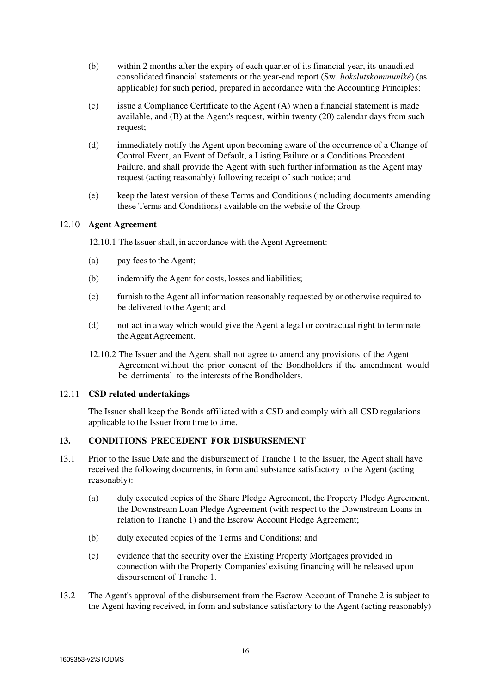- (b) within 2 months after the expiry of each quarter of its financial year, its unaudited consolidated financial statements or the year-end report (Sw. *bokslutskommuniké*) (as applicable) for such period, prepared in accordance with the Accounting Principles;
- (c) issue a Compliance Certificate to the Agent (A) when a financial statement is made available, and (B) at the Agent's request, within twenty (20) calendar days from such request;
- (d) immediately notify the Agent upon becoming aware of the occurrence of a Change of Control Event, an Event of Default, a Listing Failure or a Conditions Precedent Failure, and shall provide the Agent with such further information as the Agent may request (acting reasonably) following receipt of such notice; and
- (e) keep the latest version of these Terms and Conditions (including documents amending these Terms and Conditions) available on the website of the Group.

## 12.10 **Agent Agreement**

12.10.1 The Issuer shall, in accordance with the Agent Agreement:

- (a) pay fees to the Agent;
- (b) indemnify the Agent for costs, losses and liabilities;
- (c) furnish to the Agent all information reasonably requested by or otherwise required to be delivered to the Agent; and
- (d) not act in a way which would give the Agent a legal or contractual right to terminate the Agent Agreement.
- 12.10.2 The Issuer and the Agent shall not agree to amend any provisions of the Agent Agreement without the prior consent of the Bondholders if the amendment would be detrimental to the interests of the Bondholders.

## 12.11 **CSD related undertakings**

The Issuer shall keep the Bonds affiliated with a CSD and comply with all CSD regulations applicable to the Issuer from time to time.

## **13. CONDITIONS PRECEDENT FOR DISBURSEMENT**

- 13.1 Prior to the Issue Date and the disbursement of Tranche 1 to the Issuer, the Agent shall have received the following documents, in form and substance satisfactory to the Agent (acting reasonably):
	- (a) duly executed copies of the Share Pledge Agreement, the Property Pledge Agreement, the Downstream Loan Pledge Agreement (with respect to the Downstream Loans in relation to Tranche 1) and the Escrow Account Pledge Agreement;
	- (b) duly executed copies of the Terms and Conditions; and
	- (c) evidence that the security over the Existing Property Mortgages provided in connection with the Property Companies' existing financing will be released upon disbursement of Tranche 1.
- 13.2 The Agent's approval of the disbursement from the Escrow Account of Tranche 2 is subject to the Agent having received, in form and substance satisfactory to the Agent (acting reasonably)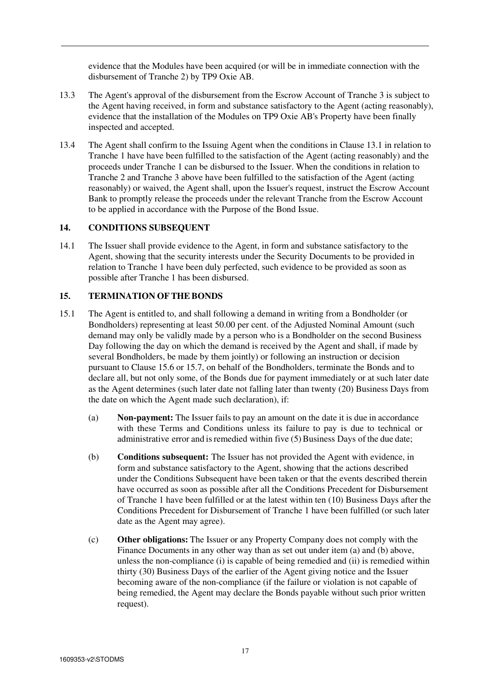evidence that the Modules have been acquired (or will be in immediate connection with the disbursement of Tranche 2) by TP9 Oxie AB.

- 13.3 The Agent's approval of the disbursement from the Escrow Account of Tranche 3 is subject to the Agent having received, in form and substance satisfactory to the Agent (acting reasonably), evidence that the installation of the Modules on TP9 Oxie AB's Property have been finally inspected and accepted.
- 13.4 The Agent shall confirm to the Issuing Agent when the conditions in Clause 13.1 in relation to Tranche 1 have have been fulfilled to the satisfaction of the Agent (acting reasonably) and the proceeds under Tranche 1 can be disbursed to the Issuer. When the conditions in relation to Tranche 2 and Tranche 3 above have been fulfilled to the satisfaction of the Agent (acting reasonably) or waived, the Agent shall, upon the Issuer's request, instruct the Escrow Account Bank to promptly release the proceeds under the relevant Tranche from the Escrow Account to be applied in accordance with the Purpose of the Bond Issue.

# **14. CONDITIONS SUBSEQUENT**

14.1 The Issuer shall provide evidence to the Agent, in form and substance satisfactory to the Agent, showing that the security interests under the Security Documents to be provided in relation to Tranche 1 have been duly perfected, such evidence to be provided as soon as possible after Tranche 1 has been disbursed.

# **15. TERMINATION OF THE BONDS**

- 15.1 The Agent is entitled to, and shall following a demand in writing from a Bondholder (or Bondholders) representing at least 50.00 per cent. of the Adjusted Nominal Amount (such demand may only be validly made by a person who is a Bondholder on the second Business Day following the day on which the demand is received by the Agent and shall, if made by several Bondholders, be made by them jointly) or following an instruction or decision pursuant to Clause 15.6 or 15.7, on behalf of the Bondholders, terminate the Bonds and to declare all, but not only some, of the Bonds due for payment immediately or at such later date as the Agent determines (such later date not falling later than twenty (20) Business Days from the date on which the Agent made such declaration), if:
	- (a) **Non-payment:** The Issuer fails to pay an amount on the date it is due in accordance with these Terms and Conditions unless its failure to pay is due to technical or administrative error and is remedied within five (5) Business Days of the due date;
	- (b) **Conditions subsequent:** The Issuer has not provided the Agent with evidence, in form and substance satisfactory to the Agent, showing that the actions described under the Conditions Subsequent have been taken or that the events described therein have occurred as soon as possible after all the Conditions Precedent for Disbursement of Tranche 1 have been fulfilled or at the latest within ten (10) Business Days after the Conditions Precedent for Disbursement of Tranche 1 have been fulfilled (or such later date as the Agent may agree).
	- (c) **Other obligations:** The Issuer or any Property Company does not comply with the Finance Documents in any other way than as set out under item (a) and (b) above, unless the non-compliance (i) is capable of being remedied and (ii) is remedied within thirty (30) Business Days of the earlier of the Agent giving notice and the Issuer becoming aware of the non-compliance (if the failure or violation is not capable of being remedied, the Agent may declare the Bonds payable without such prior written request).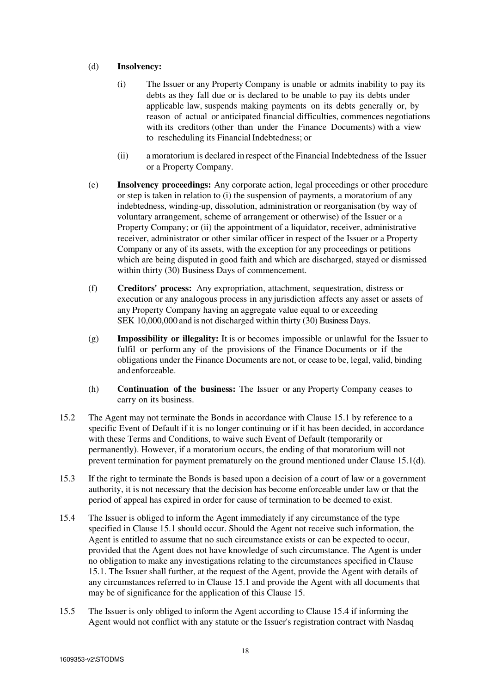## (d) **Insolvency:**

- (i) The Issuer or any Property Company is unable or admits inability to pay its debts as they fall due or is declared to be unable to pay its debts under applicable law, suspends making payments on its debts generally or, by reason of actual or anticipated financial difficulties, commences negotiations with its creditors (other than under the Finance Documents) with a view to rescheduling its Financial Indebtedness; or
- (ii) a moratorium is declared in respect of the Financial Indebtedness of the Issuer or a Property Company.
- (e) **Insolvency proceedings:** Any corporate action, legal proceedings or other procedure or step is taken in relation to (i) the suspension of payments, a moratorium of any indebtedness, winding-up, dissolution, administration or reorganisation (by way of voluntary arrangement, scheme of arrangement or otherwise) of the Issuer or a Property Company; or (ii) the appointment of a liquidator, receiver, administrative receiver, administrator or other similar officer in respect of the Issuer or a Property Company or any of its assets, with the exception for any proceedings or petitions which are being disputed in good faith and which are discharged, stayed or dismissed within thirty (30) Business Days of commencement.
- (f) **Creditors' process:** Any expropriation, attachment, sequestration, distress or execution or any analogous process in any jurisdiction affects any asset or assets of any Property Company having an aggregate value equal to or exceeding SEK 10,000,000 and is not discharged within thirty (30) Business Days.
- (g) **Impossibility or illegality:** It is or becomes impossible or unlawful for the Issuer to fulfil or perform any of the provisions of the Finance Documents or if the obligations under the Finance Documents are not, or cease to be, legal, valid, binding and enforceable.
- (h) **Continuation of the business:** The Issuer or any Property Company ceases to carry on its business.
- 15.2 The Agent may not terminate the Bonds in accordance with Clause 15.1 by reference to a specific Event of Default if it is no longer continuing or if it has been decided, in accordance with these Terms and Conditions, to waive such Event of Default (temporarily or permanently). However, if a moratorium occurs, the ending of that moratorium will not prevent termination for payment prematurely on the ground mentioned under Clause 15.1(d).
- 15.3 If the right to terminate the Bonds is based upon a decision of a court of law or a government authority, it is not necessary that the decision has become enforceable under law or that the period of appeal has expired in order for cause of termination to be deemed to exist.
- 15.4 The Issuer is obliged to inform the Agent immediately if any circumstance of the type specified in Clause 15.1 should occur. Should the Agent not receive such information, the Agent is entitled to assume that no such circumstance exists or can be expected to occur, provided that the Agent does not have knowledge of such circumstance. The Agent is under no obligation to make any investigations relating to the circumstances specified in Clause 15.1. The Issuer shall further, at the request of the Agent, provide the Agent with details of any circumstances referred to in Clause 15.1 and provide the Agent with all documents that may be of significance for the application of this Clause 15.
- 15.5 The Issuer is only obliged to inform the Agent according to Clause 15.4 if informing the Agent would not conflict with any statute or the Issuer's registration contract with Nasdaq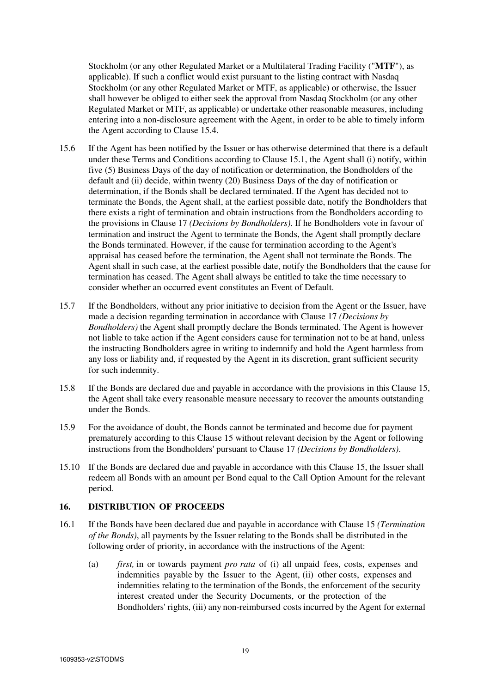Stockholm (or any other Regulated Market or a Multilateral Trading Facility ("**MTF**"), as applicable). If such a conflict would exist pursuant to the listing contract with Nasdaq Stockholm (or any other Regulated Market or MTF, as applicable) or otherwise, the Issuer shall however be obliged to either seek the approval from Nasdaq Stockholm (or any other Regulated Market or MTF, as applicable) or undertake other reasonable measures, including entering into a non-disclosure agreement with the Agent, in order to be able to timely inform the Agent according to Clause 15.4.

- 15.6 If the Agent has been notified by the Issuer or has otherwise determined that there is a default under these Terms and Conditions according to Clause 15.1, the Agent shall (i) notify, within five (5) Business Days of the day of notification or determination, the Bondholders of the default and (ii) decide, within twenty (20) Business Days of the day of notification or determination, if the Bonds shall be declared terminated. If the Agent has decided not to terminate the Bonds, the Agent shall, at the earliest possible date, notify the Bondholders that there exists a right of termination and obtain instructions from the Bondholders according to the provisions in Clause 17 *(Decisions by Bondholders)*. If he Bondholders vote in favour of termination and instruct the Agent to terminate the Bonds, the Agent shall promptly declare the Bonds terminated. However, if the cause for termination according to the Agent's appraisal has ceased before the termination, the Agent shall not terminate the Bonds. The Agent shall in such case, at the earliest possible date, notify the Bondholders that the cause for termination has ceased. The Agent shall always be entitled to take the time necessary to consider whether an occurred event constitutes an Event of Default.
- 15.7 If the Bondholders, without any prior initiative to decision from the Agent or the Issuer, have made a decision regarding termination in accordance with Clause 17 *(Decisions by Bondholders)* the Agent shall promptly declare the Bonds terminated. The Agent is however not liable to take action if the Agent considers cause for termination not to be at hand, unless the instructing Bondholders agree in writing to indemnify and hold the Agent harmless from any loss or liability and, if requested by the Agent in its discretion, grant sufficient security for such indemnity.
- 15.8 If the Bonds are declared due and payable in accordance with the provisions in this Clause 15, the Agent shall take every reasonable measure necessary to recover the amounts outstanding under the Bonds.
- 15.9 For the avoidance of doubt, the Bonds cannot be terminated and become due for payment prematurely according to this Clause 15 without relevant decision by the Agent or following instructions from the Bondholders' pursuant to Clause 17 *(Decisions by Bondholders)*.
- 15.10 If the Bonds are declared due and payable in accordance with this Clause 15, the Issuer shall redeem all Bonds with an amount per Bond equal to the Call Option Amount for the relevant period.

## **16. DISTRIBUTION OF PROCEEDS**

- 16.1 If the Bonds have been declared due and payable in accordance with Clause 15 *(Termination of the Bonds)*, all payments by the Issuer relating to the Bonds shall be distributed in the following order of priority, in accordance with the instructions of the Agent:
	- (a) *first,* in or towards payment *pro rata* of (i) all unpaid fees, costs, expenses and indemnities payable by the Issuer to the Agent, (ii) other costs, expenses and indemnities relating to the termination of the Bonds, the enforcement of the security interest created under the Security Documents, or the protection of the Bondholders' rights, (iii) any non-reimbursed costs incurred by the Agent for external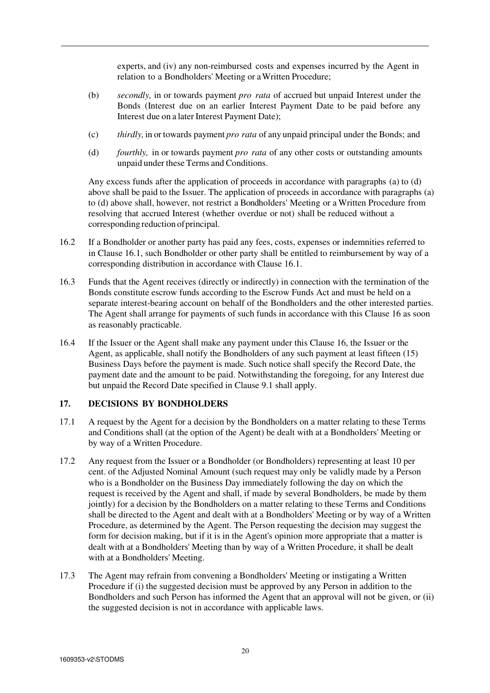experts, and (iv) any non-reimbursed costs and expenses incurred by the Agent in relation to a Bondholders' Meeting or a Written Procedure;

- (b) *secondly,* in or towards payment *pro rata* of accrued but unpaid Interest under the Bonds (Interest due on an earlier Interest Payment Date to be paid before any Interest due on a later Interest Payment Date);
- (c) *thirdly,* in or towards payment *pro rata* of any unpaid principal under the Bonds; and
- (d) *fourthly,* in or towards payment *pro rata* of any other costs or outstanding amounts unpaid under these Terms and Conditions.

Any excess funds after the application of proceeds in accordance with paragraphs (a) to (d) above shall be paid to the Issuer. The application of proceeds in accordance with paragraphs (a) to (d) above shall, however, not restrict a Bondholders' Meeting or a Written Procedure from resolving that accrued Interest (whether overdue or not) shall be reduced without a corresponding reduction of principal.

- 16.2 If a Bondholder or another party has paid any fees, costs, expenses or indemnities referred to in Clause 16.1, such Bondholder or other party shall be entitled to reimbursement by way of a corresponding distribution in accordance with Clause 16.1.
- 16.3 Funds that the Agent receives (directly or indirectly) in connection with the termination of the Bonds constitute escrow funds according to the Escrow Funds Act and must be held on a separate interest-bearing account on behalf of the Bondholders and the other interested parties. The Agent shall arrange for payments of such funds in accordance with this Clause 16 as soon as reasonably practicable.
- 16.4 If the Issuer or the Agent shall make any payment under this Clause 16, the Issuer or the Agent, as applicable, shall notify the Bondholders of any such payment at least fifteen (15) Business Days before the payment is made. Such notice shall specify the Record Date, the payment date and the amount to be paid. Notwithstanding the foregoing, for any Interest due but unpaid the Record Date specified in Clause 9.1 shall apply.

# **17. DECISIONS BY BONDHOLDERS**

- 17.1 A request by the Agent for a decision by the Bondholders on a matter relating to these Terms and Conditions shall (at the option of the Agent) be dealt with at a Bondholders' Meeting or by way of a Written Procedure.
- 17.2 Any request from the Issuer or a Bondholder (or Bondholders) representing at least 10 per cent. of the Adjusted Nominal Amount (such request may only be validly made by a Person who is a Bondholder on the Business Day immediately following the day on which the request is received by the Agent and shall, if made by several Bondholders, be made by them jointly) for a decision by the Bondholders on a matter relating to these Terms and Conditions shall be directed to the Agent and dealt with at a Bondholders' Meeting or by way of a Written Procedure, as determined by the Agent. The Person requesting the decision may suggest the form for decision making, but if it is in the Agent's opinion more appropriate that a matter is dealt with at a Bondholders' Meeting than by way of a Written Procedure, it shall be dealt with at a Bondholders' Meeting.
- 17.3 The Agent may refrain from convening a Bondholders' Meeting or instigating a Written Procedure if (i) the suggested decision must be approved by any Person in addition to the Bondholders and such Person has informed the Agent that an approval will not be given, or (ii) the suggested decision is not in accordance with applicable laws.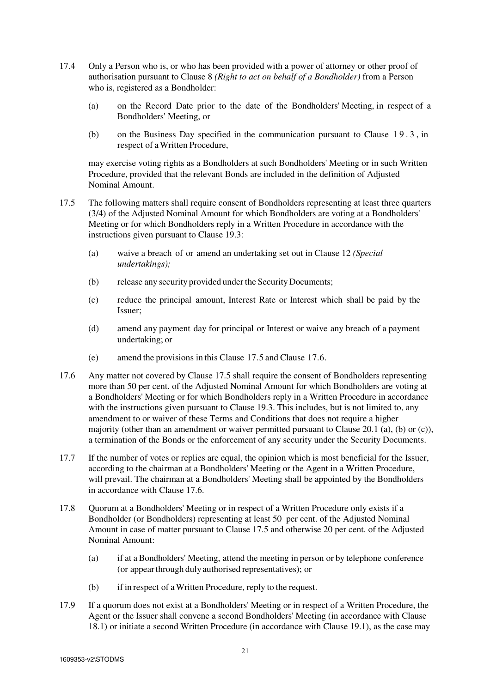- 17.4 Only a Person who is, or who has been provided with a power of attorney or other proof of authorisation pursuant to Clause 8 *(Right to act on behalf of a Bondholder)* from a Person who is, registered as a Bondholder:
	- (a) on the Record Date prior to the date of the Bondholders' Meeting, in respect of a Bondholders' Meeting, or
	- (b) on the Business Day specified in the communication pursuant to Clause 1 9 . 3 , in respect of a Written Procedure,

may exercise voting rights as a Bondholders at such Bondholders' Meeting or in such Written Procedure, provided that the relevant Bonds are included in the definition of Adjusted Nominal Amount.

- 17.5 The following matters shall require consent of Bondholders representing at least three quarters (3/4) of the Adjusted Nominal Amount for which Bondholders are voting at a Bondholders' Meeting or for which Bondholders reply in a Written Procedure in accordance with the instructions given pursuant to Clause 19.3:
	- (a) waive a breach of or amend an undertaking set out in Clause 12 *(Special undertakings);*
	- (b) release any security provided under the Security Documents;
	- (c) reduce the principal amount, Interest Rate or Interest which shall be paid by the Issuer;
	- (d) amend any payment day for principal or Interest or waive any breach of a payment undertaking; or
	- (e) amend the provisions in this Clause 17.5 and Clause 17.6.
- 17.6 Any matter not covered by Clause 17.5 shall require the consent of Bondholders representing more than 50 per cent. of the Adjusted Nominal Amount for which Bondholders are voting at a Bondholders' Meeting or for which Bondholders reply in a Written Procedure in accordance with the instructions given pursuant to Clause 19.3. This includes, but is not limited to, any amendment to or waiver of these Terms and Conditions that does not require a higher majority (other than an amendment or waiver permitted pursuant to Clause 20.1 (a), (b) or (c)), a termination of the Bonds or the enforcement of any security under the Security Documents.
- 17.7 If the number of votes or replies are equal, the opinion which is most beneficial for the Issuer, according to the chairman at a Bondholders' Meeting or the Agent in a Written Procedure, will prevail. The chairman at a Bondholders' Meeting shall be appointed by the Bondholders in accordance with Clause 17.6.
- 17.8 Quorum at a Bondholders' Meeting or in respect of a Written Procedure only exists if a Bondholder (or Bondholders) representing at least 50 per cent. of the Adjusted Nominal Amount in case of matter pursuant to Clause 17.5 and otherwise 20 per cent. of the Adjusted Nominal Amount:
	- (a) if at a Bondholders' Meeting, attend the meeting in person or by telephone conference (or appear through duly authorised representatives); or
	- (b) if in respect of a Written Procedure, reply to the request.
- 17.9 If a quorum does not exist at a Bondholders' Meeting or in respect of a Written Procedure, the Agent or the Issuer shall convene a second Bondholders' Meeting (in accordance with Clause 18.1) or initiate a second Written Procedure (in accordance with Clause 19.1), as the case may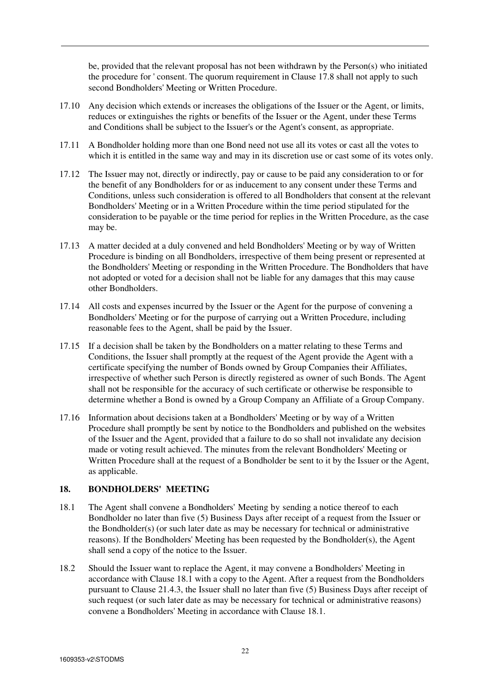be, provided that the relevant proposal has not been withdrawn by the Person(s) who initiated the procedure for ' consent. The quorum requirement in Clause 17.8 shall not apply to such second Bondholders' Meeting or Written Procedure.

- 17.10 Any decision which extends or increases the obligations of the Issuer or the Agent, or limits, reduces or extinguishes the rights or benefits of the Issuer or the Agent, under these Terms and Conditions shall be subject to the Issuer's or the Agent's consent, as appropriate.
- 17.11 A Bondholder holding more than one Bond need not use all its votes or cast all the votes to which it is entitled in the same way and may in its discretion use or cast some of its votes only.
- 17.12 The Issuer may not, directly or indirectly, pay or cause to be paid any consideration to or for the benefit of any Bondholders for or as inducement to any consent under these Terms and Conditions, unless such consideration is offered to all Bondholders that consent at the relevant Bondholders' Meeting or in a Written Procedure within the time period stipulated for the consideration to be payable or the time period for replies in the Written Procedure, as the case may be.
- 17.13 A matter decided at a duly convened and held Bondholders' Meeting or by way of Written Procedure is binding on all Bondholders, irrespective of them being present or represented at the Bondholders' Meeting or responding in the Written Procedure. The Bondholders that have not adopted or voted for a decision shall not be liable for any damages that this may cause other Bondholders.
- 17.14 All costs and expenses incurred by the Issuer or the Agent for the purpose of convening a Bondholders' Meeting or for the purpose of carrying out a Written Procedure, including reasonable fees to the Agent, shall be paid by the Issuer.
- 17.15 If a decision shall be taken by the Bondholders on a matter relating to these Terms and Conditions, the Issuer shall promptly at the request of the Agent provide the Agent with a certificate specifying the number of Bonds owned by Group Companies their Affiliates, irrespective of whether such Person is directly registered as owner of such Bonds. The Agent shall not be responsible for the accuracy of such certificate or otherwise be responsible to determine whether a Bond is owned by a Group Company an Affiliate of a Group Company.
- 17.16 Information about decisions taken at a Bondholders' Meeting or by way of a Written Procedure shall promptly be sent by notice to the Bondholders and published on the websites of the Issuer and the Agent, provided that a failure to do so shall not invalidate any decision made or voting result achieved. The minutes from the relevant Bondholders' Meeting or Written Procedure shall at the request of a Bondholder be sent to it by the Issuer or the Agent, as applicable.

## **18. BONDHOLDERS' MEETING**

- 18.1 The Agent shall convene a Bondholders' Meeting by sending a notice thereof to each Bondholder no later than five (5) Business Days after receipt of a request from the Issuer or the Bondholder(s) (or such later date as may be necessary for technical or administrative reasons). If the Bondholders' Meeting has been requested by the Bondholder(s), the Agent shall send a copy of the notice to the Issuer.
- 18.2 Should the Issuer want to replace the Agent, it may convene a Bondholders' Meeting in accordance with Clause 18.1 with a copy to the Agent. After a request from the Bondholders pursuant to Clause 21.4.3, the Issuer shall no later than five (5) Business Days after receipt of such request (or such later date as may be necessary for technical or administrative reasons) convene a Bondholders' Meeting in accordance with Clause 18.1.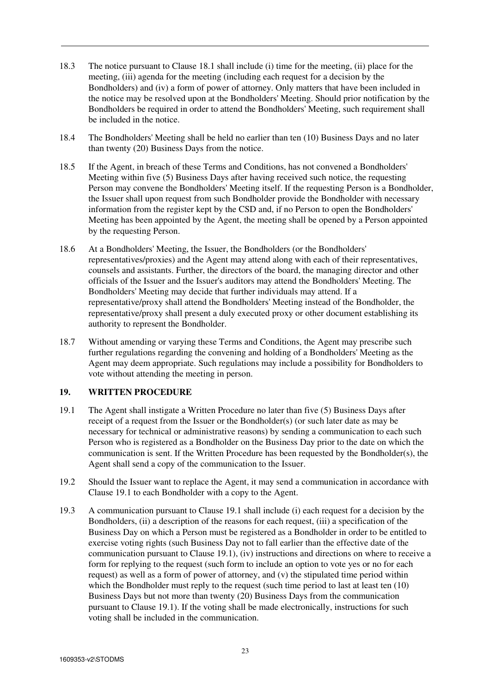- 18.3 The notice pursuant to Clause 18.1 shall include (i) time for the meeting, (ii) place for the meeting, (iii) agenda for the meeting (including each request for a decision by the Bondholders) and (iv) a form of power of attorney. Only matters that have been included in the notice may be resolved upon at the Bondholders' Meeting. Should prior notification by the Bondholders be required in order to attend the Bondholders' Meeting, such requirement shall be included in the notice.
- 18.4 The Bondholders' Meeting shall be held no earlier than ten (10) Business Days and no later than twenty (20) Business Days from the notice.
- 18.5 If the Agent, in breach of these Terms and Conditions, has not convened a Bondholders' Meeting within five (5) Business Days after having received such notice, the requesting Person may convene the Bondholders' Meeting itself. If the requesting Person is a Bondholder, the Issuer shall upon request from such Bondholder provide the Bondholder with necessary information from the register kept by the CSD and, if no Person to open the Bondholders' Meeting has been appointed by the Agent, the meeting shall be opened by a Person appointed by the requesting Person.
- 18.6 At a Bondholders' Meeting, the Issuer, the Bondholders (or the Bondholders' representatives/proxies) and the Agent may attend along with each of their representatives, counsels and assistants. Further, the directors of the board, the managing director and other officials of the Issuer and the Issuer's auditors may attend the Bondholders' Meeting. The Bondholders' Meeting may decide that further individuals may attend. If a representative/proxy shall attend the Bondholders' Meeting instead of the Bondholder, the representative/proxy shall present a duly executed proxy or other document establishing its authority to represent the Bondholder.
- 18.7 Without amending or varying these Terms and Conditions, the Agent may prescribe such further regulations regarding the convening and holding of a Bondholders' Meeting as the Agent may deem appropriate. Such regulations may include a possibility for Bondholders to vote without attending the meeting in person.

## **19. WRITTEN PROCEDURE**

- 19.1 The Agent shall instigate a Written Procedure no later than five (5) Business Days after receipt of a request from the Issuer or the Bondholder(s) (or such later date as may be necessary for technical or administrative reasons) by sending a communication to each such Person who is registered as a Bondholder on the Business Day prior to the date on which the communication is sent. If the Written Procedure has been requested by the Bondholder(s), the Agent shall send a copy of the communication to the Issuer.
- 19.2 Should the Issuer want to replace the Agent, it may send a communication in accordance with Clause 19.1 to each Bondholder with a copy to the Agent.
- 19.3 A communication pursuant to Clause 19.1 shall include (i) each request for a decision by the Bondholders, (ii) a description of the reasons for each request, (iii) a specification of the Business Day on which a Person must be registered as a Bondholder in order to be entitled to exercise voting rights (such Business Day not to fall earlier than the effective date of the communication pursuant to Clause 19.1), (iv) instructions and directions on where to receive a form for replying to the request (such form to include an option to vote yes or no for each request) as well as a form of power of attorney, and (v) the stipulated time period within which the Bondholder must reply to the request (such time period to last at least ten  $(10)$ ) Business Days but not more than twenty (20) Business Days from the communication pursuant to Clause 19.1). If the voting shall be made electronically, instructions for such voting shall be included in the communication.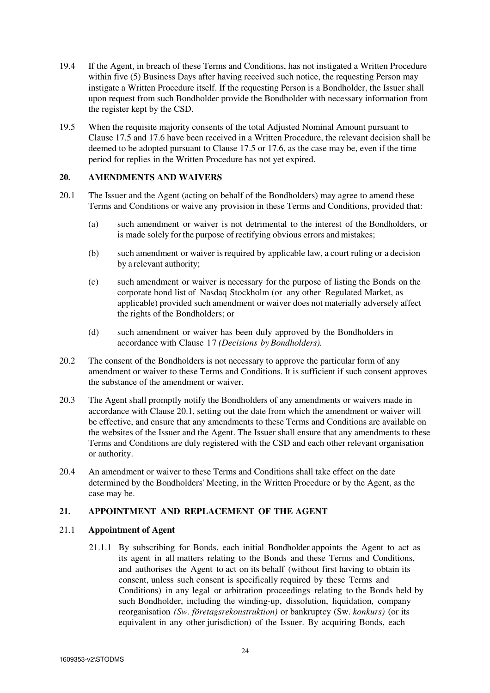- 19.4 If the Agent, in breach of these Terms and Conditions, has not instigated a Written Procedure within five (5) Business Days after having received such notice, the requesting Person may instigate a Written Procedure itself. If the requesting Person is a Bondholder, the Issuer shall upon request from such Bondholder provide the Bondholder with necessary information from the register kept by the CSD.
- 19.5 When the requisite majority consents of the total Adjusted Nominal Amount pursuant to Clause 17.5 and 17.6 have been received in a Written Procedure, the relevant decision shall be deemed to be adopted pursuant to Clause 17.5 or 17.6, as the case may be, even if the time period for replies in the Written Procedure has not yet expired.

# **20. AMENDMENTS AND WAIVERS**

- 20.1 The Issuer and the Agent (acting on behalf of the Bondholders) may agree to amend these Terms and Conditions or waive any provision in these Terms and Conditions, provided that:
	- (a) such amendment or waiver is not detrimental to the interest of the Bondholders, or is made solely for the purpose of rectifying obvious errors and mistakes;
	- (b) such amendment or waiver is required by applicable law, a court ruling or a decision by a relevant authority;
	- (c) such amendment or waiver is necessary for the purpose of listing the Bonds on the corporate bond list of Nasdaq Stockholm (or any other Regulated Market, as applicable) provided such amendment or waiver does not materially adversely affect the rights of the Bondholders; or
	- (d) such amendment or waiver has been duly approved by the Bondholders in accordance with Clause 17 *(Decisions by Bondholders).*
- 20.2 The consent of the Bondholders is not necessary to approve the particular form of any amendment or waiver to these Terms and Conditions. It is sufficient if such consent approves the substance of the amendment or waiver.
- 20.3 The Agent shall promptly notify the Bondholders of any amendments or waivers made in accordance with Clause 20.1, setting out the date from which the amendment or waiver will be effective, and ensure that any amendments to these Terms and Conditions are available on the websites of the Issuer and the Agent. The Issuer shall ensure that any amendments to these Terms and Conditions are duly registered with the CSD and each other relevant organisation or authority.
- 20.4 An amendment or waiver to these Terms and Conditions shall take effect on the date determined by the Bondholders' Meeting, in the Written Procedure or by the Agent, as the case may be.

## **21. APPOINTMENT AND REPLACEMENT OF THE AGENT**

## 21.1 **Appointment of Agent**

21.1.1 By subscribing for Bonds, each initial Bondholder appoints the Agent to act as its agent in all matters relating to the Bonds and these Terms and Conditions, and authorises the Agent to act on its behalf (without first having to obtain its consent, unless such consent is specifically required by these Terms and Conditions) in any legal or arbitration proceedings relating to the Bonds held by such Bondholder, including the winding-up, dissolution, liquidation, company reorganisation *(Sw. företagsrekonstruktion)* or bankruptcy (Sw. *konkurs)* (or its equivalent in any other jurisdiction) of the Issuer. By acquiring Bonds, each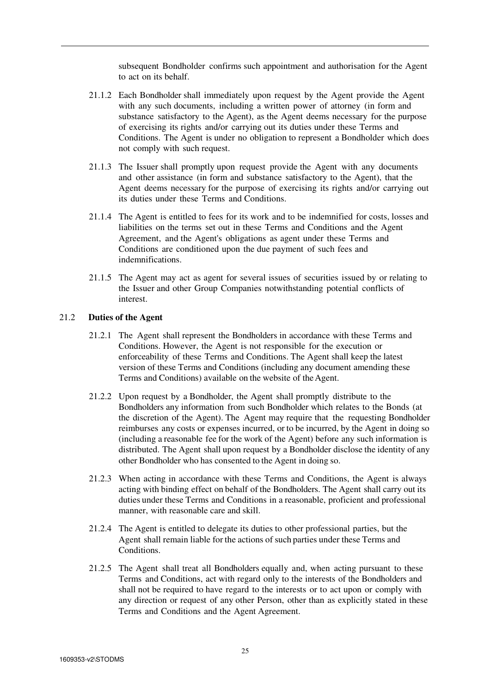subsequent Bondholder confirms such appointment and authorisation for the Agent to act on its behalf.

- 21.1.2 Each Bondholder shall immediately upon request by the Agent provide the Agent with any such documents, including a written power of attorney (in form and substance satisfactory to the Agent), as the Agent deems necessary for the purpose of exercising its rights and/or carrying out its duties under these Terms and Conditions. The Agent is under no obligation to represent a Bondholder which does not comply with such request.
- 21.1.3 The Issuer shall promptly upon request provide the Agent with any documents and other assistance (in form and substance satisfactory to the Agent), that the Agent deems necessary for the purpose of exercising its rights and/or carrying out its duties under these Terms and Conditions.
- 21.1.4 The Agent is entitled to fees for its work and to be indemnified for costs, losses and liabilities on the terms set out in these Terms and Conditions and the Agent Agreement, and the Agent's obligations as agent under these Terms and Conditions are conditioned upon the due payment of such fees and indemnifications.
- 21.1.5 The Agent may act as agent for several issues of securities issued by or relating to the Issuer and other Group Companies notwithstanding potential conflicts of interest.

#### 21.2 **Duties of the Agent**

- 21.2.1 The Agent shall represent the Bondholders in accordance with these Terms and Conditions. However, the Agent is not responsible for the execution or enforceability of these Terms and Conditions. The Agent shall keep the latest version of these Terms and Conditions (including any document amending these Terms and Conditions) available on the website of the Agent.
- 21.2.2 Upon request by a Bondholder, the Agent shall promptly distribute to the Bondholders any information from such Bondholder which relates to the Bonds (at the discretion of the Agent). The Agent may require that the requesting Bondholder reimburses any costs or expenses incurred, or to be incurred, by the Agent in doing so (including a reasonable fee for the work of the Agent) before any such information is distributed. The Agent shall upon request by a Bondholder disclose the identity of any other Bondholder who has consented to the Agent in doing so.
- 21.2.3 When acting in accordance with these Terms and Conditions, the Agent is always acting with binding effect on behalf of the Bondholders. The Agent shall carry out its duties under these Terms and Conditions in a reasonable, proficient and professional manner, with reasonable care and skill.
- 21.2.4 The Agent is entitled to delegate its duties to other professional parties, but the Agent shall remain liable for the actions of such parties under these Terms and Conditions.
- 21.2.5 The Agent shall treat all Bondholders equally and, when acting pursuant to these Terms and Conditions, act with regard only to the interests of the Bondholders and shall not be required to have regard to the interests or to act upon or comply with any direction or request of any other Person, other than as explicitly stated in these Terms and Conditions and the Agent Agreement.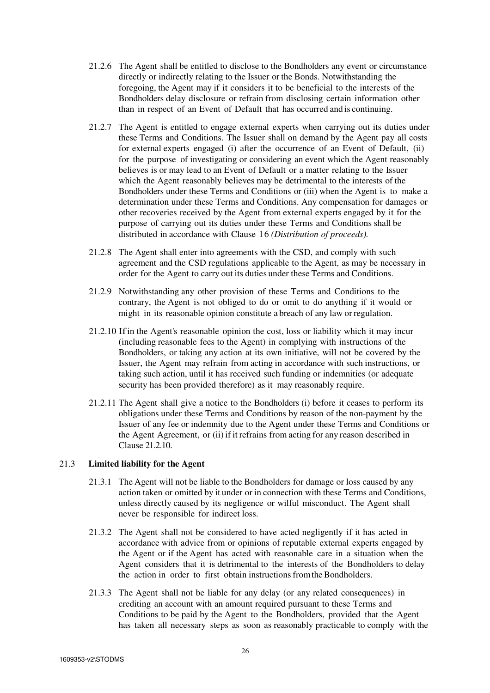- 21.2.6 The Agent shall be entitled to disclose to the Bondholders any event or circumstance directly or indirectly relating to the Issuer or the Bonds. Notwithstanding the foregoing, the Agent may if it considers it to be beneficial to the interests of the Bondholders delay disclosure or refrain from disclosing certain information other than in respect of an Event of Default that has occurred and is continuing.
- 21.2.7 The Agent is entitled to engage external experts when carrying out its duties under these Terms and Conditions. The Issuer shall on demand by the Agent pay all costs for external experts engaged (i) after the occurrence of an Event of Default, (ii) for the purpose of investigating or considering an event which the Agent reasonably believes is or may lead to an Event of Default or a matter relating to the Issuer which the Agent reasonably believes may be detrimental to the interests of the Bondholders under these Terms and Conditions or (iii) when the Agent is to make a determination under these Terms and Conditions. Any compensation for damages or other recoveries received by the Agent from external experts engaged by it for the purpose of carrying out its duties under these Terms and Conditions shall be distributed in accordance with Clause 16 *(Distribution of proceeds).*
- 21.2.8 The Agent shall enter into agreements with the CSD, and comply with such agreement and the CSD regulations applicable to the Agent, as may be necessary in order for the Agent to carry out its duties under these Terms and Conditions.
- 21.2.9 Notwithstanding any other provision of these Terms and Conditions to the contrary, the Agent is not obliged to do or omit to do anything if it would or might in its reasonable opinion constitute a breach of any law or regulation.
- 21.2.10 If in the Agent's reasonable opinion the cost, loss or liability which it may incur (including reasonable fees to the Agent) in complying with instructions of the Bondholders, or taking any action at its own initiative, will not be covered by the Issuer, the Agent may refrain from acting in accordance with such instructions, or taking such action, until it has received such funding or indemnities (or adequate security has been provided therefore) as it may reasonably require.
- 21.2.11 The Agent shall give a notice to the Bondholders (i) before it ceases to perform its obligations under these Terms and Conditions by reason of the non-payment by the Issuer of any fee or indemnity due to the Agent under these Terms and Conditions or the Agent Agreement, or (ii) if it refrains from acting for any reason described in Clause 21.2.10.

## 21.3 **Limited liability for the Agent**

- 21.3.1 The Agent will not be liable to the Bondholders for damage or loss caused by any action taken or omitted by it under or in connection with these Terms and Conditions, unless directly caused by its negligence or wilful misconduct. The Agent shall never be responsible for indirect loss.
- 21.3.2 The Agent shall not be considered to have acted negligently if it has acted in accordance with advice from or opinions of reputable external experts engaged by the Agent or if the Agent has acted with reasonable care in a situation when the Agent considers that it is detrimental to the interests of the Bondholders to delay the action in order to first obtain instructions from the Bondholders.
- 21.3.3 The Agent shall not be liable for any delay (or any related consequences) in crediting an account with an amount required pursuant to these Terms and Conditions to be paid by the Agent to the Bondholders, provided that the Agent has taken all necessary steps as soon as reasonably practicable to comply with the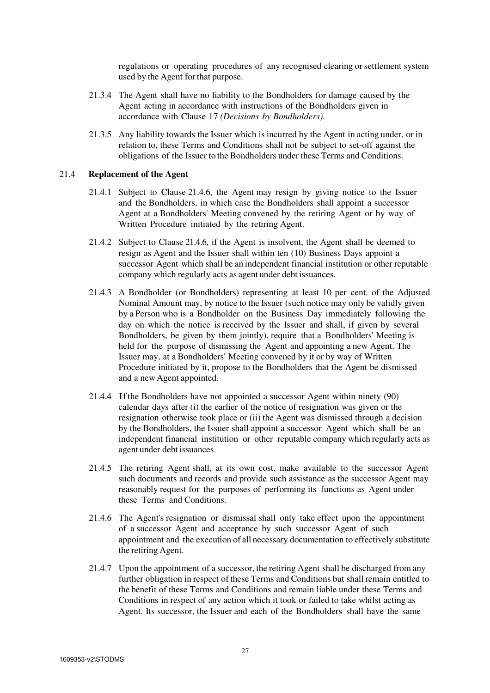regulations or operating procedures of any recognised clearing or settlement system used by the Agent for that purpose.

- 21.3.4 The Agent shall have no liability to the Bondholders for damage caused by the Agent acting in accordance with instructions of the Bondholders given in accordance with Clause 17 *(Decisions by Bondholders).*
- 21.3.5 Any liability towards the Issuer which is incurred by the Agent in acting under, or in relation to, these Terms and Conditions shall not be subject to set-off against the obligations of the Issuer to the Bondholders under these Terms and Conditions.

#### 21.4 **Replacement of the Agent**

- 21.4.1 Subject to Clause 21.4.6, the Agent may resign by giving notice to the Issuer and the Bondholders, in which case the Bondholders shall appoint a successor Agent at a Bondholders' Meeting convened by the retiring Agent or by way of Written Procedure initiated by the retiring Agent.
- 21.4.2 Subject to Clause 21.4.6, if the Agent is insolvent, the Agent shall be deemed to resign as Agent and the Issuer shall within ten (10) Business Days appoint a successor Agent which shall be an independent financial institution or other reputable company which regularly acts as agent under debt issuances.
- 21.4.3 A Bondholder (or Bondholders) representing at least 10 per cent. of the Adjusted Nominal Amount may, by notice to the Issuer (such notice may only be validly given by a Person who is a Bondholder on the Business Day immediately following the day on which the notice is received by the Issuer and shall, if given by several Bondholders, be given by them jointly), require that a Bondholders' Meeting is held for the purpose of dismissing the Agent and appointing a new Agent. The Issuer may, at a Bondholders' Meeting convened by it or by way of Written Procedure initiated by it, propose to the Bondholders that the Agent be dismissed and a new Agent appointed.
- 21.4.4 If the Bondholders have not appointed a successor Agent within ninety (90) calendar days after (i) the earlier of the notice of resignation was given or the resignation otherwise took place or (ii) the Agent was dismissed through a decision by the Bondholders, the Issuer shall appoint a successor Agent which shall be an independent financial institution or other reputable company which regularly acts as agent under debt issuances.
- 21.4.5 The retiring Agent shall, at its own cost, make available to the successor Agent such documents and records and provide such assistance as the successor Agent may reasonably request for the purposes of performing its functions as Agent under these Terms and Conditions.
- 21.4.6 The Agent's resignation or dismissal shall only take effect upon the appointment of a successor Agent and acceptance by such successor Agent of such appointment and the execution of all necessary documentation to effectively substitute the retiring Agent.
- 21.4.7 Upon the appointment of a successor, the retiring Agent shall be discharged from any further obligation in respect of these Terms and Conditions but shall remain entitled to the benefit of these Terms and Conditions and remain liable under these Terms and Conditions in respect of any action which it took or failed to take whilst acting as Agent. Its successor, the Issuer and each of the Bondholders shall have the same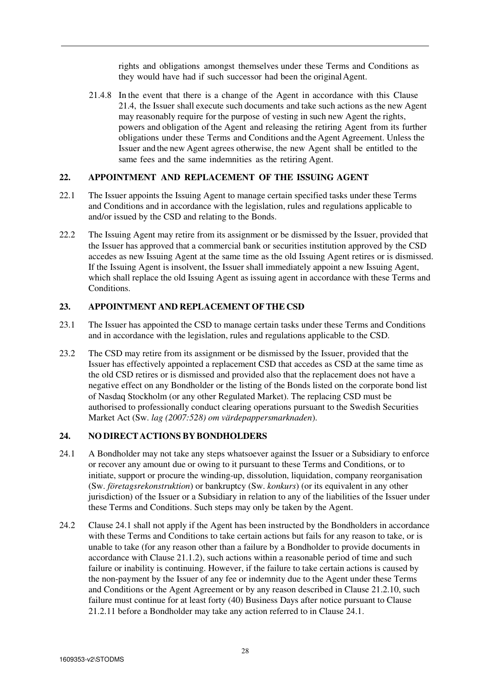rights and obligations amongst themselves under these Terms and Conditions as they would have had if such successor had been the original Agent.

21.4.8 In the event that there is a change of the Agent in accordance with this Clause 21.4, the Issuer shall execute such documents and take such actions as the new Agent may reasonably require for the purpose of vesting in such new Agent the rights, powers and obligation of the Agent and releasing the retiring Agent from its further obligations under these Terms and Conditions and the Agent Agreement. Unless the Issuer and the new Agent agrees otherwise, the new Agent shall be entitled to the same fees and the same indemnities as the retiring Agent.

# **22. APPOINTMENT AND REPLACEMENT OF THE ISSUING AGENT**

- 22.1 The Issuer appoints the Issuing Agent to manage certain specified tasks under these Terms and Conditions and in accordance with the legislation, rules and regulations applicable to and/or issued by the CSD and relating to the Bonds.
- 22.2 The Issuing Agent may retire from its assignment or be dismissed by the Issuer, provided that the Issuer has approved that a commercial bank or securities institution approved by the CSD accedes as new Issuing Agent at the same time as the old Issuing Agent retires or is dismissed. If the Issuing Agent is insolvent, the Issuer shall immediately appoint a new Issuing Agent, which shall replace the old Issuing Agent as issuing agent in accordance with these Terms and Conditions.

### **23. APPOINTMENT AND REPLACEMENT OF THE CSD**

- 23.1 The Issuer has appointed the CSD to manage certain tasks under these Terms and Conditions and in accordance with the legislation, rules and regulations applicable to the CSD.
- 23.2 The CSD may retire from its assignment or be dismissed by the Issuer, provided that the Issuer has effectively appointed a replacement CSD that accedes as CSD at the same time as the old CSD retires or is dismissed and provided also that the replacement does not have a negative effect on any Bondholder or the listing of the Bonds listed on the corporate bond list of Nasdaq Stockholm (or any other Regulated Market). The replacing CSD must be authorised to professionally conduct clearing operations pursuant to the Swedish Securities Market Act (Sw. *lag (2007:528) om värdepappersmarknaden*).

#### **24. NO DIRECT ACTIONS BY BONDHOLDERS**

- 24.1 A Bondholder may not take any steps whatsoever against the Issuer or a Subsidiary to enforce or recover any amount due or owing to it pursuant to these Terms and Conditions, or to initiate, support or procure the winding-up, dissolution, liquidation, company reorganisation (Sw. *företagsrekonstruktion*) or bankruptcy (Sw. *konkurs*) (or its equivalent in any other jurisdiction) of the Issuer or a Subsidiary in relation to any of the liabilities of the Issuer under these Terms and Conditions. Such steps may only be taken by the Agent.
- 24.2 Clause 24.1 shall not apply if the Agent has been instructed by the Bondholders in accordance with these Terms and Conditions to take certain actions but fails for any reason to take, or is unable to take (for any reason other than a failure by a Bondholder to provide documents in accordance with Clause 21.1.2), such actions within a reasonable period of time and such failure or inability is continuing. However, if the failure to take certain actions is caused by the non-payment by the Issuer of any fee or indemnity due to the Agent under these Terms and Conditions or the Agent Agreement or by any reason described in Clause 21.2.10, such failure must continue for at least forty (40) Business Days after notice pursuant to Clause 21.2.11 before a Bondholder may take any action referred to in Clause 24.1.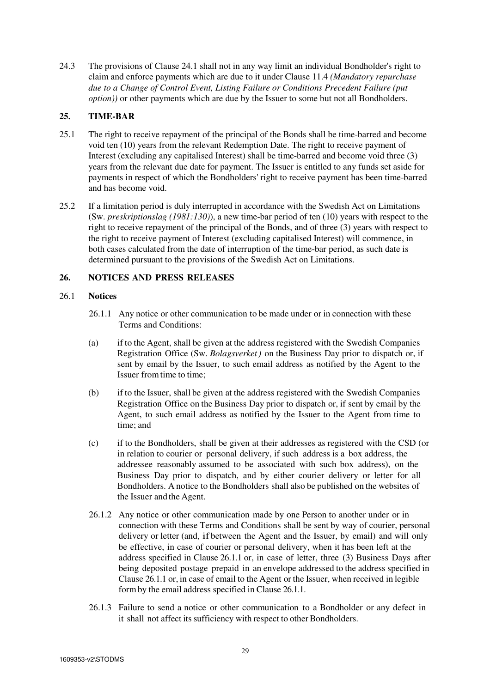24.3 The provisions of Clause 24.1 shall not in any way limit an individual Bondholder's right to claim and enforce payments which are due to it under Clause 11.4 *(Mandatory repurchase due to a Change of Control Event, Listing Failure or Conditions Precedent Failure (put option))* or other payments which are due by the Issuer to some but not all Bondholders.

# **25. TIME-BAR**

- 25.1 The right to receive repayment of the principal of the Bonds shall be time-barred and become void ten (10) years from the relevant Redemption Date. The right to receive payment of Interest (excluding any capitalised Interest) shall be time-barred and become void three (3) years from the relevant due date for payment. The Issuer is entitled to any funds set aside for payments in respect of which the Bondholders' right to receive payment has been time-barred and has become void.
- 25.2 If a limitation period is duly interrupted in accordance with the Swedish Act on Limitations (Sw. *preskriptionslag (1981:130)*), a new time-bar period of ten (10) years with respect to the right to receive repayment of the principal of the Bonds, and of three (3) years with respect to the right to receive payment of Interest (excluding capitalised Interest) will commence, in both cases calculated from the date of interruption of the time-bar period, as such date is determined pursuant to the provisions of the Swedish Act on Limitations.

# **26. NOTICES AND PRESS RELEASES**

# 26.1 **Notices**

- 26.1.1 Any notice or other communication to be made under or in connection with these Terms and Conditions:
- (a) if to the Agent, shall be given at the address registered with the Swedish Companies Registration Office (Sw. *Bolagsverket)* on the Business Day prior to dispatch or, if sent by email by the Issuer, to such email address as notified by the Agent to the Issuer from time to time;
- (b) if to the Issuer, shall be given at the address registered with the Swedish Companies Registration Office on the Business Day prior to dispatch or, if sent by email by the Agent, to such email address as notified by the Issuer to the Agent from time to time; and
- (c) if to the Bondholders, shall be given at their addresses as registered with the CSD (or in relation to courier or personal delivery, if such address is a box address, the addressee reasonably assumed to be associated with such box address), on the Business Day prior to dispatch, and by either courier delivery or letter for all Bondholders. A notice to the Bondholders shall also be published on the websites of the Issuer and the Agent.
- 26.1.2 Any notice or other communication made by one Person to another under or in connection with these Terms and Conditions shall be sent by way of courier, personal delivery or letter (and, if between the Agent and the Issuer, by email) and will only be effective, in case of courier or personal delivery, when it has been left at the address specified in Clause 26.1.1 or, in case of letter, three (3) Business Days after being deposited postage prepaid in an envelope addressed to the address specified in Clause 26.1.1 or, in case of email to the Agent or the Issuer, when received in legible form by the email address specified in Clause 26.1.1.
- 26.1.3 Failure to send a notice or other communication to a Bondholder or any defect in it shall not affect its sufficiency with respect to other Bondholders.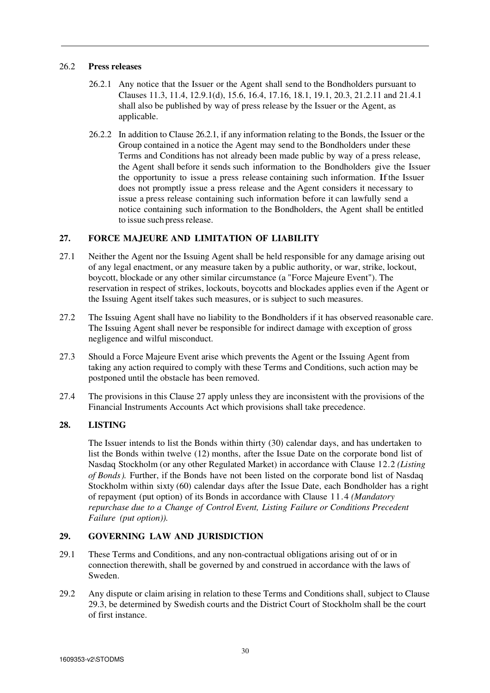## 26.2 **Press releases**

- 26.2.1 Any notice that the Issuer or the Agent shall send to the Bondholders pursuant to Clauses 11.3, 11.4, 12.9.1(d), 15.6, 16.4, 17.16, 18.1, 19.1, 20.3, 21.2.11 and 21.4.1 shall also be published by way of press release by the Issuer or the Agent, as applicable.
- 26.2.2 In addition to Clause 26.2.1, if any information relating to the Bonds, the Issuer or the Group contained in a notice the Agent may send to the Bondholders under these Terms and Conditions has not already been made public by way of a press release, the Agent shall before it sends such information to the Bondholders give the Issuer the opportunity to issue a press release containing such information. If the Issuer does not promptly issue a press release and the Agent considers it necessary to issue a press release containing such information before it can lawfully send a notice containing such information to the Bondholders, the Agent shall be entitled to issue such press release.

# **27. FORCE MAJEURE AND LIMITATION OF LIABILITY**

- 27.1 Neither the Agent nor the Issuing Agent shall be held responsible for any damage arising out of any legal enactment, or any measure taken by a public authority, or war, strike, lockout, boycott, blockade or any other similar circumstance (a "Force Majeure Event"). The reservation in respect of strikes, lockouts, boycotts and blockades applies even if the Agent or the Issuing Agent itself takes such measures, or is subject to such measures.
- 27.2 The Issuing Agent shall have no liability to the Bondholders if it has observed reasonable care. The Issuing Agent shall never be responsible for indirect damage with exception of gross negligence and wilful misconduct.
- 27.3 Should a Force Majeure Event arise which prevents the Agent or the Issuing Agent from taking any action required to comply with these Terms and Conditions, such action may be postponed until the obstacle has been removed.
- 27.4 The provisions in this Clause 27 apply unless they are inconsistent with the provisions of the Financial Instruments Accounts Act which provisions shall take precedence.

# **28. LISTING**

The Issuer intends to list the Bonds within thirty (30) calendar days, and has undertaken to list the Bonds within twelve (12) months, after the Issue Date on the corporate bond list of Nasdaq Stockholm (or any other Regulated Market) in accordance with Clause 12.2 *(Listing of Bonds).* Further, if the Bonds have not been listed on the corporate bond list of Nasdaq Stockholm within sixty (60) calendar days after the Issue Date, each Bondholder has a right of repayment (put option) of its Bonds in accordance with Clause 11.4 *(Mandatory repurchase due to a Change of Control Event, Listing Failure or Conditions Precedent Failure (put option)).*

# **29. GOVERNING LAW AND JURISDICTION**

- 29.1 These Terms and Conditions, and any non-contractual obligations arising out of or in connection therewith, shall be governed by and construed in accordance with the laws of Sweden.
- 29.2 Any dispute or claim arising in relation to these Terms and Conditions shall, subject to Clause 29.3, be determined by Swedish courts and the District Court of Stockholm shall be the court of first instance.